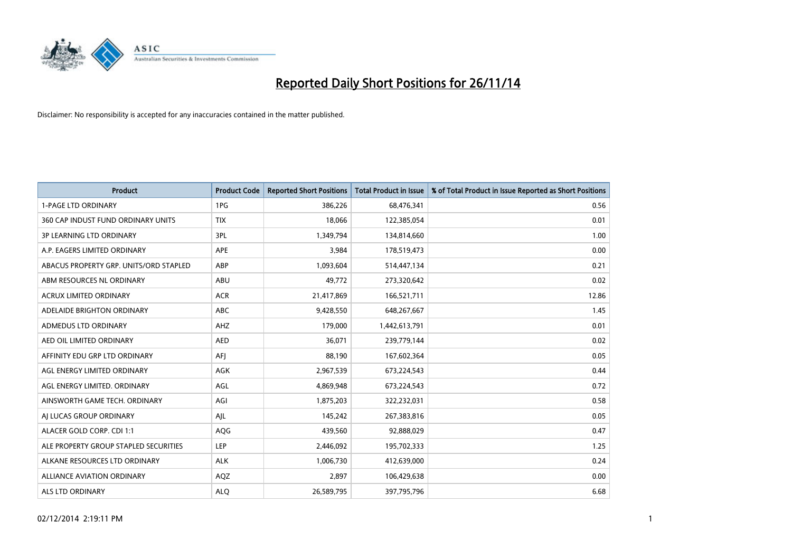

| <b>Product</b>                         | <b>Product Code</b> | <b>Reported Short Positions</b> | <b>Total Product in Issue</b> | % of Total Product in Issue Reported as Short Positions |
|----------------------------------------|---------------------|---------------------------------|-------------------------------|---------------------------------------------------------|
| 1-PAGE LTD ORDINARY                    | 1PG                 | 386,226                         | 68,476,341                    | 0.56                                                    |
| 360 CAP INDUST FUND ORDINARY UNITS     | <b>TIX</b>          | 18,066                          | 122,385,054                   | 0.01                                                    |
| <b>3P LEARNING LTD ORDINARY</b>        | 3PL                 | 1,349,794                       | 134,814,660                   | 1.00                                                    |
| A.P. EAGERS LIMITED ORDINARY           | <b>APE</b>          | 3,984                           | 178,519,473                   | 0.00                                                    |
| ABACUS PROPERTY GRP. UNITS/ORD STAPLED | ABP                 | 1,093,604                       | 514,447,134                   | 0.21                                                    |
| ABM RESOURCES NL ORDINARY              | ABU                 | 49,772                          | 273,320,642                   | 0.02                                                    |
| <b>ACRUX LIMITED ORDINARY</b>          | <b>ACR</b>          | 21,417,869                      | 166,521,711                   | 12.86                                                   |
| ADELAIDE BRIGHTON ORDINARY             | <b>ABC</b>          | 9,428,550                       | 648,267,667                   | 1.45                                                    |
| ADMEDUS LTD ORDINARY                   | AHZ                 | 179,000                         | 1,442,613,791                 | 0.01                                                    |
| AED OIL LIMITED ORDINARY               | <b>AED</b>          | 36,071                          | 239,779,144                   | 0.02                                                    |
| AFFINITY EDU GRP LTD ORDINARY          | AFJ                 | 88,190                          | 167,602,364                   | 0.05                                                    |
| AGL ENERGY LIMITED ORDINARY            | AGK                 | 2,967,539                       | 673,224,543                   | 0.44                                                    |
| AGL ENERGY LIMITED. ORDINARY           | AGL                 | 4,869,948                       | 673,224,543                   | 0.72                                                    |
| AINSWORTH GAME TECH. ORDINARY          | AGI                 | 1,875,203                       | 322,232,031                   | 0.58                                                    |
| AI LUCAS GROUP ORDINARY                | AJL                 | 145,242                         | 267,383,816                   | 0.05                                                    |
| ALACER GOLD CORP. CDI 1:1              | AQG                 | 439,560                         | 92,888,029                    | 0.47                                                    |
| ALE PROPERTY GROUP STAPLED SECURITIES  | LEP                 | 2,446,092                       | 195,702,333                   | 1.25                                                    |
| ALKANE RESOURCES LTD ORDINARY          | <b>ALK</b>          | 1,006,730                       | 412,639,000                   | 0.24                                                    |
| <b>ALLIANCE AVIATION ORDINARY</b>      | AQZ                 | 2,897                           | 106,429,638                   | 0.00                                                    |
| ALS LTD ORDINARY                       | <b>ALO</b>          | 26,589,795                      | 397,795,796                   | 6.68                                                    |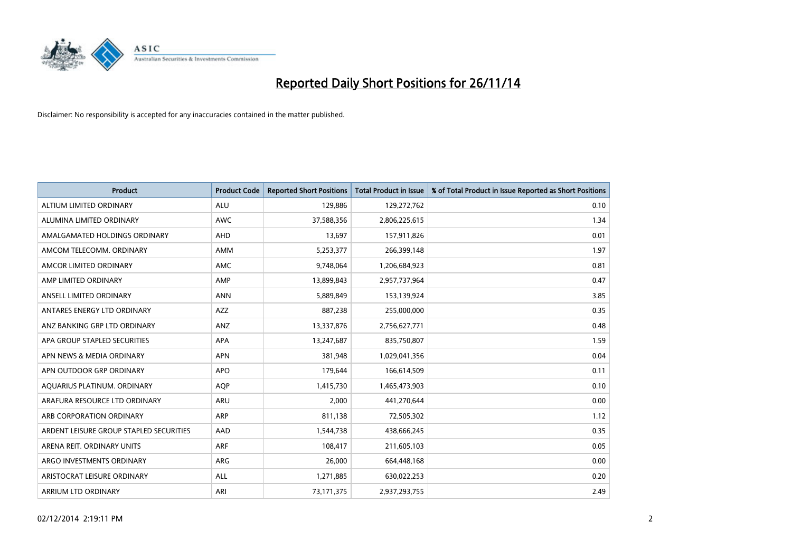

| <b>Product</b>                          | <b>Product Code</b> | <b>Reported Short Positions</b> | <b>Total Product in Issue</b> | % of Total Product in Issue Reported as Short Positions |
|-----------------------------------------|---------------------|---------------------------------|-------------------------------|---------------------------------------------------------|
| ALTIUM LIMITED ORDINARY                 | <b>ALU</b>          | 129,886                         | 129,272,762                   | 0.10                                                    |
| ALUMINA LIMITED ORDINARY                | <b>AWC</b>          | 37,588,356                      | 2,806,225,615                 | 1.34                                                    |
| AMALGAMATED HOLDINGS ORDINARY           | AHD                 | 13,697                          | 157,911,826                   | 0.01                                                    |
| AMCOM TELECOMM. ORDINARY                | AMM                 | 5,253,377                       | 266,399,148                   | 1.97                                                    |
| AMCOR LIMITED ORDINARY                  | AMC                 | 9,748,064                       | 1,206,684,923                 | 0.81                                                    |
| AMP LIMITED ORDINARY                    | AMP                 | 13,899,843                      | 2,957,737,964                 | 0.47                                                    |
| ANSELL LIMITED ORDINARY                 | <b>ANN</b>          | 5,889,849                       | 153,139,924                   | 3.85                                                    |
| ANTARES ENERGY LTD ORDINARY             | <b>AZZ</b>          | 887,238                         | 255,000,000                   | 0.35                                                    |
| ANZ BANKING GRP LTD ORDINARY            | ANZ                 | 13,337,876                      | 2,756,627,771                 | 0.48                                                    |
| APA GROUP STAPLED SECURITIES            | <b>APA</b>          | 13,247,687                      | 835,750,807                   | 1.59                                                    |
| APN NEWS & MEDIA ORDINARY               | <b>APN</b>          | 381,948                         | 1,029,041,356                 | 0.04                                                    |
| APN OUTDOOR GRP ORDINARY                | <b>APO</b>          | 179,644                         | 166,614,509                   | 0.11                                                    |
| AQUARIUS PLATINUM. ORDINARY             | <b>AOP</b>          | 1,415,730                       | 1,465,473,903                 | 0.10                                                    |
| ARAFURA RESOURCE LTD ORDINARY           | ARU                 | 2,000                           | 441,270,644                   | 0.00                                                    |
| ARB CORPORATION ORDINARY                | <b>ARP</b>          | 811,138                         | 72,505,302                    | 1.12                                                    |
| ARDENT LEISURE GROUP STAPLED SECURITIES | AAD                 | 1,544,738                       | 438,666,245                   | 0.35                                                    |
| ARENA REIT. ORDINARY UNITS              | <b>ARF</b>          | 108,417                         | 211,605,103                   | 0.05                                                    |
| ARGO INVESTMENTS ORDINARY               | ARG                 | 26,000                          | 664,448,168                   | 0.00                                                    |
| ARISTOCRAT LEISURE ORDINARY             | ALL                 | 1,271,885                       | 630,022,253                   | 0.20                                                    |
| ARRIUM LTD ORDINARY                     | ARI                 | 73,171,375                      | 2,937,293,755                 | 2.49                                                    |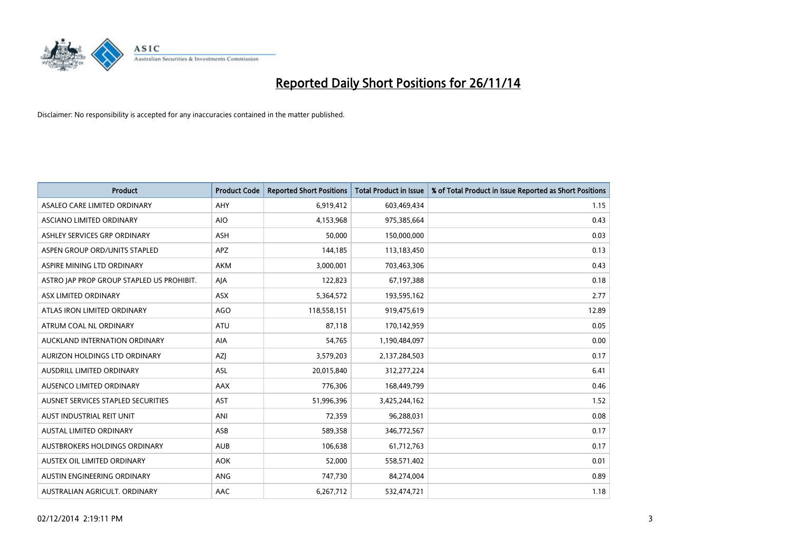

| <b>Product</b>                            | <b>Product Code</b> | <b>Reported Short Positions</b> | <b>Total Product in Issue</b> | % of Total Product in Issue Reported as Short Positions |
|-------------------------------------------|---------------------|---------------------------------|-------------------------------|---------------------------------------------------------|
| ASALEO CARE LIMITED ORDINARY              | AHY                 | 6,919,412                       | 603,469,434                   | 1.15                                                    |
| ASCIANO LIMITED ORDINARY                  | <b>AIO</b>          | 4,153,968                       | 975,385,664                   | 0.43                                                    |
| ASHLEY SERVICES GRP ORDINARY              | <b>ASH</b>          | 50,000                          | 150,000,000                   | 0.03                                                    |
| ASPEN GROUP ORD/UNITS STAPLED             | APZ                 | 144,185                         | 113,183,450                   | 0.13                                                    |
| ASPIRE MINING LTD ORDINARY                | <b>AKM</b>          | 3,000,001                       | 703,463,306                   | 0.43                                                    |
| ASTRO JAP PROP GROUP STAPLED US PROHIBIT. | AJA                 | 122,823                         | 67,197,388                    | 0.18                                                    |
| ASX LIMITED ORDINARY                      | ASX                 | 5,364,572                       | 193,595,162                   | 2.77                                                    |
| ATLAS IRON LIMITED ORDINARY               | AGO                 | 118,558,151                     | 919,475,619                   | 12.89                                                   |
| ATRUM COAL NL ORDINARY                    | ATU                 | 87,118                          | 170,142,959                   | 0.05                                                    |
| AUCKLAND INTERNATION ORDINARY             | <b>AIA</b>          | 54,765                          | 1,190,484,097                 | 0.00                                                    |
| AURIZON HOLDINGS LTD ORDINARY             | AZJ                 | 3,579,203                       | 2,137,284,503                 | 0.17                                                    |
| AUSDRILL LIMITED ORDINARY                 | ASL                 | 20,015,840                      | 312,277,224                   | 6.41                                                    |
| AUSENCO LIMITED ORDINARY                  | AAX                 | 776,306                         | 168,449,799                   | 0.46                                                    |
| AUSNET SERVICES STAPLED SECURITIES        | <b>AST</b>          | 51,996,396                      | 3,425,244,162                 | 1.52                                                    |
| AUST INDUSTRIAL REIT UNIT                 | ANI                 | 72,359                          | 96,288,031                    | 0.08                                                    |
| AUSTAL LIMITED ORDINARY                   | ASB                 | 589,358                         | 346,772,567                   | 0.17                                                    |
| AUSTBROKERS HOLDINGS ORDINARY             | <b>AUB</b>          | 106,638                         | 61,712,763                    | 0.17                                                    |
| AUSTEX OIL LIMITED ORDINARY               | <b>AOK</b>          | 52,000                          | 558,571,402                   | 0.01                                                    |
| AUSTIN ENGINEERING ORDINARY               | <b>ANG</b>          | 747,730                         | 84,274,004                    | 0.89                                                    |
| AUSTRALIAN AGRICULT. ORDINARY             | AAC                 | 6,267,712                       | 532,474,721                   | 1.18                                                    |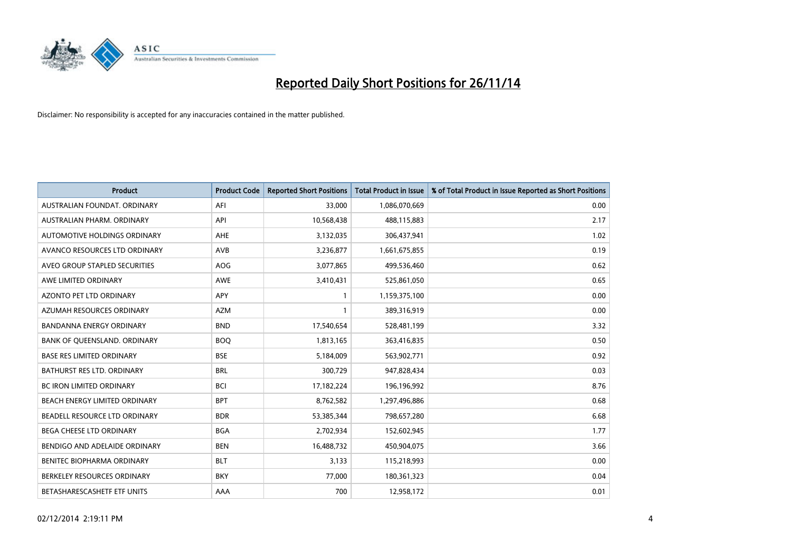

| <b>Product</b>                    | <b>Product Code</b> | <b>Reported Short Positions</b> | <b>Total Product in Issue</b> | % of Total Product in Issue Reported as Short Positions |
|-----------------------------------|---------------------|---------------------------------|-------------------------------|---------------------------------------------------------|
| AUSTRALIAN FOUNDAT, ORDINARY      | AFI                 | 33,000                          | 1,086,070,669                 | 0.00                                                    |
| AUSTRALIAN PHARM. ORDINARY        | API                 | 10,568,438                      | 488,115,883                   | 2.17                                                    |
| AUTOMOTIVE HOLDINGS ORDINARY      | AHE                 | 3,132,035                       | 306,437,941                   | 1.02                                                    |
| AVANCO RESOURCES LTD ORDINARY     | AVB                 | 3,236,877                       | 1,661,675,855                 | 0.19                                                    |
| AVEO GROUP STAPLED SECURITIES     | AOG                 | 3,077,865                       | 499,536,460                   | 0.62                                                    |
| AWE LIMITED ORDINARY              | AWE                 | 3,410,431                       | 525,861,050                   | 0.65                                                    |
| AZONTO PET LTD ORDINARY           | APY                 | 1                               | 1,159,375,100                 | 0.00                                                    |
| AZUMAH RESOURCES ORDINARY         | <b>AZM</b>          | $\mathbf{1}$                    | 389,316,919                   | 0.00                                                    |
| <b>BANDANNA ENERGY ORDINARY</b>   | <b>BND</b>          | 17,540,654                      | 528,481,199                   | 3.32                                                    |
| BANK OF QUEENSLAND. ORDINARY      | <b>BOQ</b>          | 1,813,165                       | 363,416,835                   | 0.50                                                    |
| <b>BASE RES LIMITED ORDINARY</b>  | <b>BSE</b>          | 5,184,009                       | 563,902,771                   | 0.92                                                    |
| <b>BATHURST RES LTD. ORDINARY</b> | <b>BRL</b>          | 300,729                         | 947,828,434                   | 0.03                                                    |
| BC IRON LIMITED ORDINARY          | <b>BCI</b>          | 17,182,224                      | 196,196,992                   | 8.76                                                    |
| BEACH ENERGY LIMITED ORDINARY     | <b>BPT</b>          | 8,762,582                       | 1,297,496,886                 | 0.68                                                    |
| BEADELL RESOURCE LTD ORDINARY     | <b>BDR</b>          | 53,385,344                      | 798,657,280                   | 6.68                                                    |
| <b>BEGA CHEESE LTD ORDINARY</b>   | <b>BGA</b>          | 2,702,934                       | 152,602,945                   | 1.77                                                    |
| BENDIGO AND ADELAIDE ORDINARY     | <b>BEN</b>          | 16,488,732                      | 450,904,075                   | 3.66                                                    |
| BENITEC BIOPHARMA ORDINARY        | <b>BLT</b>          | 3,133                           | 115,218,993                   | 0.00                                                    |
| BERKELEY RESOURCES ORDINARY       | <b>BKY</b>          | 77,000                          | 180,361,323                   | 0.04                                                    |
| BETASHARESCASHETF ETF UNITS       | AAA                 | 700                             | 12,958,172                    | 0.01                                                    |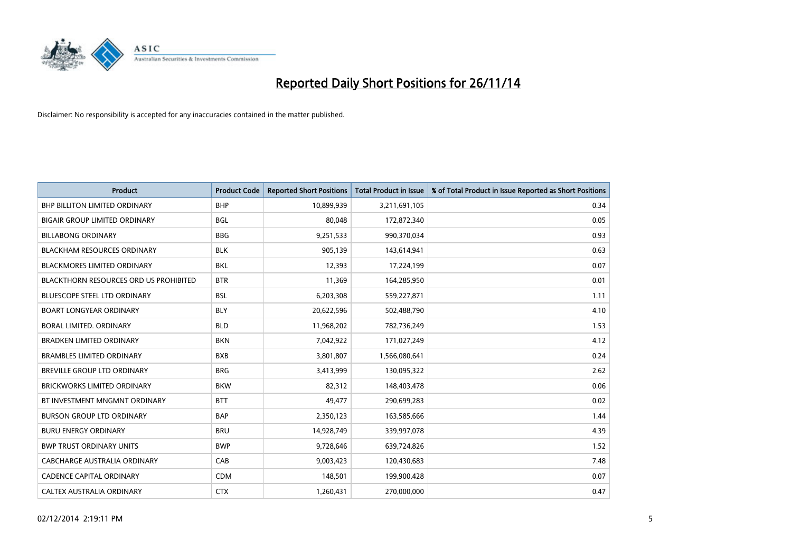

| <b>Product</b>                                | <b>Product Code</b> | <b>Reported Short Positions</b> | <b>Total Product in Issue</b> | % of Total Product in Issue Reported as Short Positions |
|-----------------------------------------------|---------------------|---------------------------------|-------------------------------|---------------------------------------------------------|
| <b>BHP BILLITON LIMITED ORDINARY</b>          | <b>BHP</b>          | 10,899,939                      | 3,211,691,105                 | 0.34                                                    |
| <b>BIGAIR GROUP LIMITED ORDINARY</b>          | <b>BGL</b>          | 80.048                          | 172,872,340                   | 0.05                                                    |
| <b>BILLABONG ORDINARY</b>                     | <b>BBG</b>          | 9,251,533                       | 990,370,034                   | 0.93                                                    |
| <b>BLACKHAM RESOURCES ORDINARY</b>            | <b>BLK</b>          | 905,139                         | 143,614,941                   | 0.63                                                    |
| <b>BLACKMORES LIMITED ORDINARY</b>            | <b>BKL</b>          | 12,393                          | 17,224,199                    | 0.07                                                    |
| <b>BLACKTHORN RESOURCES ORD US PROHIBITED</b> | <b>BTR</b>          | 11,369                          | 164,285,950                   | 0.01                                                    |
| <b>BLUESCOPE STEEL LTD ORDINARY</b>           | <b>BSL</b>          | 6,203,308                       | 559,227,871                   | 1.11                                                    |
| <b>BOART LONGYEAR ORDINARY</b>                | <b>BLY</b>          | 20,622,596                      | 502,488,790                   | 4.10                                                    |
| BORAL LIMITED, ORDINARY                       | <b>BLD</b>          | 11,968,202                      | 782,736,249                   | 1.53                                                    |
| <b>BRADKEN LIMITED ORDINARY</b>               | <b>BKN</b>          | 7,042,922                       | 171,027,249                   | 4.12                                                    |
| <b>BRAMBLES LIMITED ORDINARY</b>              | <b>BXB</b>          | 3,801,807                       | 1,566,080,641                 | 0.24                                                    |
| BREVILLE GROUP LTD ORDINARY                   | <b>BRG</b>          | 3,413,999                       | 130,095,322                   | 2.62                                                    |
| <b>BRICKWORKS LIMITED ORDINARY</b>            | <b>BKW</b>          | 82,312                          | 148,403,478                   | 0.06                                                    |
| BT INVESTMENT MNGMNT ORDINARY                 | <b>BTT</b>          | 49.477                          | 290,699,283                   | 0.02                                                    |
| <b>BURSON GROUP LTD ORDINARY</b>              | <b>BAP</b>          | 2,350,123                       | 163,585,666                   | 1.44                                                    |
| <b>BURU ENERGY ORDINARY</b>                   | <b>BRU</b>          | 14,928,749                      | 339,997,078                   | 4.39                                                    |
| <b>BWP TRUST ORDINARY UNITS</b>               | <b>BWP</b>          | 9,728,646                       | 639,724,826                   | 1.52                                                    |
| CABCHARGE AUSTRALIA ORDINARY                  | CAB                 | 9,003,423                       | 120,430,683                   | 7.48                                                    |
| <b>CADENCE CAPITAL ORDINARY</b>               | <b>CDM</b>          | 148,501                         | 199,900,428                   | 0.07                                                    |
| <b>CALTEX AUSTRALIA ORDINARY</b>              | <b>CTX</b>          | 1,260,431                       | 270,000,000                   | 0.47                                                    |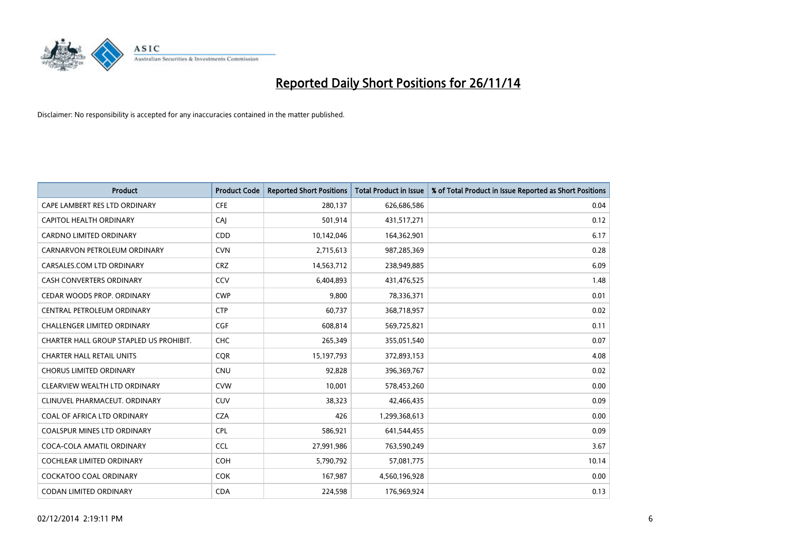

| <b>Product</b>                          | <b>Product Code</b> | <b>Reported Short Positions</b> | <b>Total Product in Issue</b> | % of Total Product in Issue Reported as Short Positions |
|-----------------------------------------|---------------------|---------------------------------|-------------------------------|---------------------------------------------------------|
| CAPE LAMBERT RES LTD ORDINARY           | <b>CFE</b>          | 280,137                         | 626,686,586                   | 0.04                                                    |
| CAPITOL HEALTH ORDINARY                 | CAI                 | 501,914                         | 431,517,271                   | 0.12                                                    |
| <b>CARDNO LIMITED ORDINARY</b>          | CDD                 | 10,142,046                      | 164,362,901                   | 6.17                                                    |
| CARNARVON PETROLEUM ORDINARY            | <b>CVN</b>          | 2,715,613                       | 987,285,369                   | 0.28                                                    |
| CARSALES.COM LTD ORDINARY               | <b>CRZ</b>          | 14,563,712                      | 238,949,885                   | 6.09                                                    |
| <b>CASH CONVERTERS ORDINARY</b>         | CCV                 | 6,404,893                       | 431,476,525                   | 1.48                                                    |
| CEDAR WOODS PROP. ORDINARY              | <b>CWP</b>          | 9,800                           | 78,336,371                    | 0.01                                                    |
| CENTRAL PETROLEUM ORDINARY              | <b>CTP</b>          | 60,737                          | 368,718,957                   | 0.02                                                    |
| <b>CHALLENGER LIMITED ORDINARY</b>      | <b>CGF</b>          | 608,814                         | 569,725,821                   | 0.11                                                    |
| CHARTER HALL GROUP STAPLED US PROHIBIT. | <b>CHC</b>          | 265,349                         | 355,051,540                   | 0.07                                                    |
| <b>CHARTER HALL RETAIL UNITS</b>        | <b>CQR</b>          | 15, 197, 793                    | 372,893,153                   | 4.08                                                    |
| <b>CHORUS LIMITED ORDINARY</b>          | <b>CNU</b>          | 92,828                          | 396,369,767                   | 0.02                                                    |
| CLEARVIEW WEALTH LTD ORDINARY           | <b>CVW</b>          | 10,001                          | 578,453,260                   | 0.00                                                    |
| CLINUVEL PHARMACEUT, ORDINARY           | <b>CUV</b>          | 38,323                          | 42,466,435                    | 0.09                                                    |
| COAL OF AFRICA LTD ORDINARY             | <b>CZA</b>          | 426                             | 1,299,368,613                 | 0.00                                                    |
| COALSPUR MINES LTD ORDINARY             | <b>CPL</b>          | 586,921                         | 641,544,455                   | 0.09                                                    |
| COCA-COLA AMATIL ORDINARY               | <b>CCL</b>          | 27,991,986                      | 763,590,249                   | 3.67                                                    |
| COCHLEAR LIMITED ORDINARY               | <b>COH</b>          | 5,790,792                       | 57,081,775                    | 10.14                                                   |
| <b>COCKATOO COAL ORDINARY</b>           | <b>COK</b>          | 167,987                         | 4,560,196,928                 | 0.00                                                    |
| CODAN LIMITED ORDINARY                  | <b>CDA</b>          | 224,598                         | 176,969,924                   | 0.13                                                    |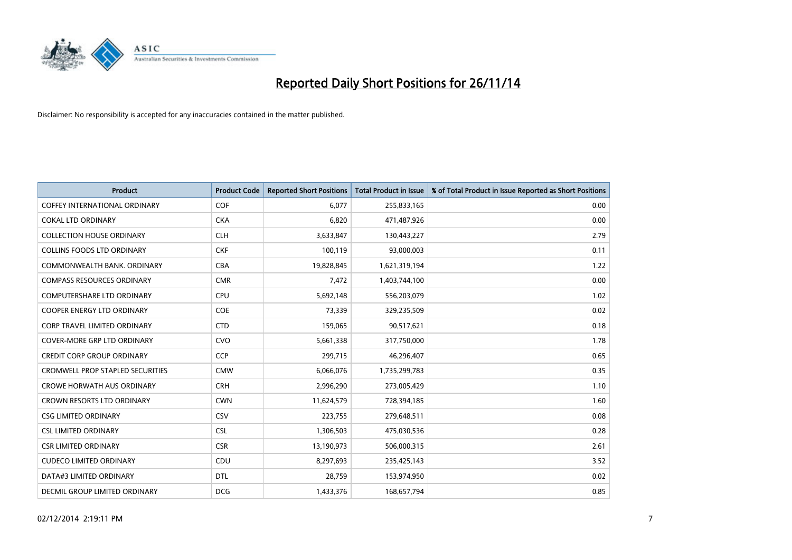

| Product                                 | <b>Product Code</b> | <b>Reported Short Positions</b> | <b>Total Product in Issue</b> | % of Total Product in Issue Reported as Short Positions |
|-----------------------------------------|---------------------|---------------------------------|-------------------------------|---------------------------------------------------------|
| <b>COFFEY INTERNATIONAL ORDINARY</b>    | COF                 | 6,077                           | 255,833,165                   | 0.00                                                    |
| <b>COKAL LTD ORDINARY</b>               | <b>CKA</b>          | 6,820                           | 471,487,926                   | 0.00                                                    |
| <b>COLLECTION HOUSE ORDINARY</b>        | <b>CLH</b>          | 3,633,847                       | 130,443,227                   | 2.79                                                    |
| <b>COLLINS FOODS LTD ORDINARY</b>       | <b>CKF</b>          | 100,119                         | 93,000,003                    | 0.11                                                    |
| COMMONWEALTH BANK, ORDINARY             | <b>CBA</b>          | 19,828,845                      | 1,621,319,194                 | 1.22                                                    |
| <b>COMPASS RESOURCES ORDINARY</b>       | <b>CMR</b>          | 7,472                           | 1,403,744,100                 | 0.00                                                    |
| <b>COMPUTERSHARE LTD ORDINARY</b>       | <b>CPU</b>          | 5,692,148                       | 556,203,079                   | 1.02                                                    |
| <b>COOPER ENERGY LTD ORDINARY</b>       | <b>COE</b>          | 73,339                          | 329,235,509                   | 0.02                                                    |
| <b>CORP TRAVEL LIMITED ORDINARY</b>     | <b>CTD</b>          | 159,065                         | 90,517,621                    | 0.18                                                    |
| <b>COVER-MORE GRP LTD ORDINARY</b>      | <b>CVO</b>          | 5,661,338                       | 317,750,000                   | 1.78                                                    |
| <b>CREDIT CORP GROUP ORDINARY</b>       | <b>CCP</b>          | 299,715                         | 46,296,407                    | 0.65                                                    |
| <b>CROMWELL PROP STAPLED SECURITIES</b> | <b>CMW</b>          | 6,066,076                       | 1,735,299,783                 | 0.35                                                    |
| <b>CROWE HORWATH AUS ORDINARY</b>       | <b>CRH</b>          | 2,996,290                       | 273,005,429                   | 1.10                                                    |
| <b>CROWN RESORTS LTD ORDINARY</b>       | <b>CWN</b>          | 11,624,579                      | 728,394,185                   | 1.60                                                    |
| <b>CSG LIMITED ORDINARY</b>             | CSV                 | 223,755                         | 279,648,511                   | 0.08                                                    |
| <b>CSL LIMITED ORDINARY</b>             | <b>CSL</b>          | 1,306,503                       | 475,030,536                   | 0.28                                                    |
| <b>CSR LIMITED ORDINARY</b>             | <b>CSR</b>          | 13,190,973                      | 506,000,315                   | 2.61                                                    |
| <b>CUDECO LIMITED ORDINARY</b>          | <b>CDU</b>          | 8,297,693                       | 235,425,143                   | 3.52                                                    |
| DATA#3 LIMITED ORDINARY                 | <b>DTL</b>          | 28,759                          | 153,974,950                   | 0.02                                                    |
| DECMIL GROUP LIMITED ORDINARY           | <b>DCG</b>          | 1,433,376                       | 168,657,794                   | 0.85                                                    |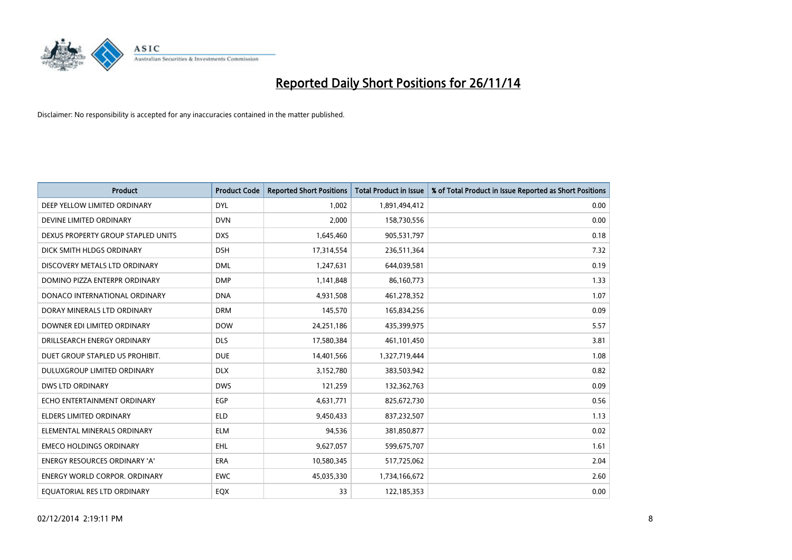

| <b>Product</b>                       | <b>Product Code</b> | <b>Reported Short Positions</b> | <b>Total Product in Issue</b> | % of Total Product in Issue Reported as Short Positions |
|--------------------------------------|---------------------|---------------------------------|-------------------------------|---------------------------------------------------------|
| DEEP YELLOW LIMITED ORDINARY         | <b>DYL</b>          | 1,002                           | 1,891,494,412                 | 0.00                                                    |
| DEVINE LIMITED ORDINARY              | <b>DVN</b>          | 2,000                           | 158,730,556                   | 0.00                                                    |
| DEXUS PROPERTY GROUP STAPLED UNITS   | <b>DXS</b>          | 1,645,460                       | 905,531,797                   | 0.18                                                    |
| DICK SMITH HLDGS ORDINARY            | <b>DSH</b>          | 17,314,554                      | 236,511,364                   | 7.32                                                    |
| DISCOVERY METALS LTD ORDINARY        | <b>DML</b>          | 1,247,631                       | 644,039,581                   | 0.19                                                    |
| DOMINO PIZZA ENTERPR ORDINARY        | <b>DMP</b>          | 1,141,848                       | 86,160,773                    | 1.33                                                    |
| DONACO INTERNATIONAL ORDINARY        | <b>DNA</b>          | 4,931,508                       | 461,278,352                   | 1.07                                                    |
| DORAY MINERALS LTD ORDINARY          | <b>DRM</b>          | 145,570                         | 165,834,256                   | 0.09                                                    |
| DOWNER EDI LIMITED ORDINARY          | <b>DOW</b>          | 24,251,186                      | 435,399,975                   | 5.57                                                    |
| DRILLSEARCH ENERGY ORDINARY          | <b>DLS</b>          | 17,580,384                      | 461,101,450                   | 3.81                                                    |
| DUET GROUP STAPLED US PROHIBIT.      | <b>DUE</b>          | 14,401,566                      | 1,327,719,444                 | 1.08                                                    |
| DULUXGROUP LIMITED ORDINARY          | <b>DLX</b>          | 3,152,780                       | 383,503,942                   | 0.82                                                    |
| DWS LTD ORDINARY                     | <b>DWS</b>          | 121,259                         | 132,362,763                   | 0.09                                                    |
| ECHO ENTERTAINMENT ORDINARY          | EGP                 | 4,631,771                       | 825,672,730                   | 0.56                                                    |
| <b>ELDERS LIMITED ORDINARY</b>       | <b>ELD</b>          | 9,450,433                       | 837,232,507                   | 1.13                                                    |
| ELEMENTAL MINERALS ORDINARY          | <b>ELM</b>          | 94,536                          | 381,850,877                   | 0.02                                                    |
| <b>EMECO HOLDINGS ORDINARY</b>       | <b>EHL</b>          | 9,627,057                       | 599,675,707                   | 1.61                                                    |
| ENERGY RESOURCES ORDINARY 'A'        | <b>ERA</b>          | 10,580,345                      | 517,725,062                   | 2.04                                                    |
| <b>ENERGY WORLD CORPOR, ORDINARY</b> | <b>EWC</b>          | 45,035,330                      | 1,734,166,672                 | 2.60                                                    |
| EQUATORIAL RES LTD ORDINARY          | EQX                 | 33                              | 122,185,353                   | 0.00                                                    |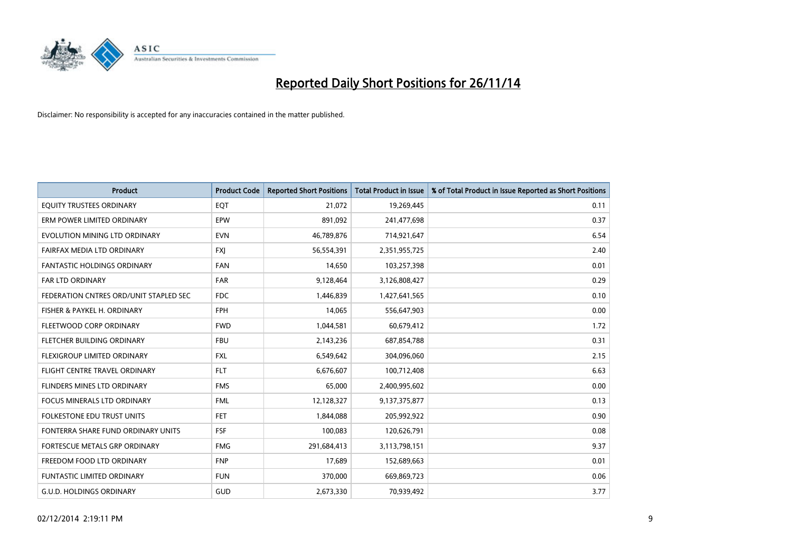

| <b>Product</b>                         | <b>Product Code</b> | <b>Reported Short Positions</b> | <b>Total Product in Issue</b> | % of Total Product in Issue Reported as Short Positions |
|----------------------------------------|---------------------|---------------------------------|-------------------------------|---------------------------------------------------------|
| EQUITY TRUSTEES ORDINARY               | EQT                 | 21,072                          | 19,269,445                    | 0.11                                                    |
| ERM POWER LIMITED ORDINARY             | <b>EPW</b>          | 891,092                         | 241,477,698                   | 0.37                                                    |
| EVOLUTION MINING LTD ORDINARY          | <b>EVN</b>          | 46,789,876                      | 714,921,647                   | 6.54                                                    |
| FAIRFAX MEDIA LTD ORDINARY             | <b>FXJ</b>          | 56,554,391                      | 2,351,955,725                 | 2.40                                                    |
| <b>FANTASTIC HOLDINGS ORDINARY</b>     | <b>FAN</b>          | 14,650                          | 103,257,398                   | 0.01                                                    |
| <b>FAR LTD ORDINARY</b>                | <b>FAR</b>          | 9,128,464                       | 3,126,808,427                 | 0.29                                                    |
| FEDERATION CNTRES ORD/UNIT STAPLED SEC | FDC                 | 1,446,839                       | 1,427,641,565                 | 0.10                                                    |
| FISHER & PAYKEL H. ORDINARY            | <b>FPH</b>          | 14,065                          | 556,647,903                   | 0.00                                                    |
| FLEETWOOD CORP ORDINARY                | <b>FWD</b>          | 1,044,581                       | 60,679,412                    | 1.72                                                    |
| FLETCHER BUILDING ORDINARY             | <b>FBU</b>          | 2,143,236                       | 687,854,788                   | 0.31                                                    |
| FLEXIGROUP LIMITED ORDINARY            | FXL                 | 6,549,642                       | 304,096,060                   | 2.15                                                    |
| FLIGHT CENTRE TRAVEL ORDINARY          | <b>FLT</b>          | 6,676,607                       | 100,712,408                   | 6.63                                                    |
| FLINDERS MINES LTD ORDINARY            | <b>FMS</b>          | 65,000                          | 2,400,995,602                 | 0.00                                                    |
| <b>FOCUS MINERALS LTD ORDINARY</b>     | <b>FML</b>          | 12,128,327                      | 9,137,375,877                 | 0.13                                                    |
| <b>FOLKESTONE EDU TRUST UNITS</b>      | <b>FET</b>          | 1,844,088                       | 205,992,922                   | 0.90                                                    |
| FONTERRA SHARE FUND ORDINARY UNITS     | <b>FSF</b>          | 100,083                         | 120,626,791                   | 0.08                                                    |
| FORTESCUE METALS GRP ORDINARY          | <b>FMG</b>          | 291,684,413                     | 3,113,798,151                 | 9.37                                                    |
| FREEDOM FOOD LTD ORDINARY              | <b>FNP</b>          | 17,689                          | 152,689,663                   | 0.01                                                    |
| <b>FUNTASTIC LIMITED ORDINARY</b>      | <b>FUN</b>          | 370,000                         | 669,869,723                   | 0.06                                                    |
| <b>G.U.D. HOLDINGS ORDINARY</b>        | GUD                 | 2,673,330                       | 70,939,492                    | 3.77                                                    |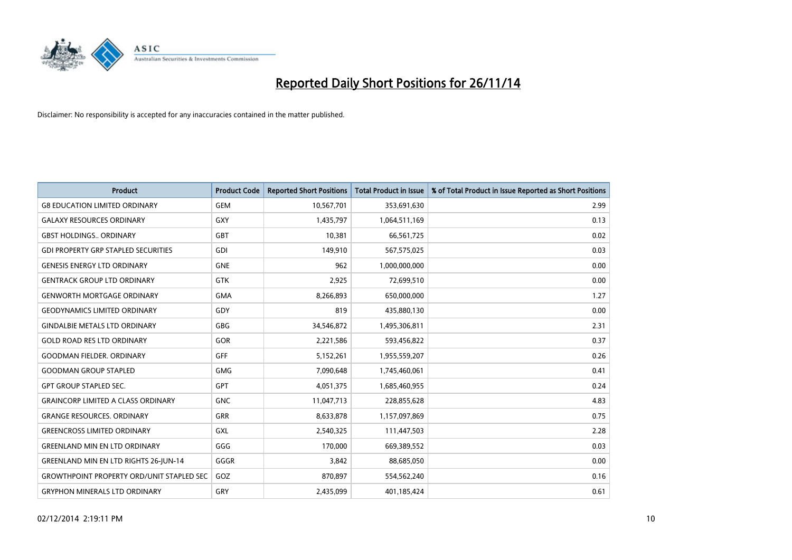

| <b>Product</b>                                   | <b>Product Code</b> | <b>Reported Short Positions</b> | <b>Total Product in Issue</b> | % of Total Product in Issue Reported as Short Positions |
|--------------------------------------------------|---------------------|---------------------------------|-------------------------------|---------------------------------------------------------|
| <b>G8 EDUCATION LIMITED ORDINARY</b>             | <b>GEM</b>          | 10,567,701                      | 353,691,630                   | 2.99                                                    |
| <b>GALAXY RESOURCES ORDINARY</b>                 | GXY                 | 1,435,797                       | 1,064,511,169                 | 0.13                                                    |
| <b>GBST HOLDINGS., ORDINARY</b>                  | <b>GBT</b>          | 10,381                          | 66,561,725                    | 0.02                                                    |
| <b>GDI PROPERTY GRP STAPLED SECURITIES</b>       | <b>GDI</b>          | 149,910                         | 567,575,025                   | 0.03                                                    |
| <b>GENESIS ENERGY LTD ORDINARY</b>               | <b>GNE</b>          | 962                             | 1,000,000,000                 | 0.00                                                    |
| <b>GENTRACK GROUP LTD ORDINARY</b>               | <b>GTK</b>          | 2,925                           | 72,699,510                    | 0.00                                                    |
| <b>GENWORTH MORTGAGE ORDINARY</b>                | <b>GMA</b>          | 8,266,893                       | 650,000,000                   | 1.27                                                    |
| <b>GEODYNAMICS LIMITED ORDINARY</b>              | GDY                 | 819                             | 435,880,130                   | 0.00                                                    |
| <b>GINDALBIE METALS LTD ORDINARY</b>             | <b>GBG</b>          | 34,546,872                      | 1,495,306,811                 | 2.31                                                    |
| <b>GOLD ROAD RES LTD ORDINARY</b>                | GOR                 | 2,221,586                       | 593,456,822                   | 0.37                                                    |
| <b>GOODMAN FIELDER. ORDINARY</b>                 | <b>GFF</b>          | 5,152,261                       | 1,955,559,207                 | 0.26                                                    |
| <b>GOODMAN GROUP STAPLED</b>                     | <b>GMG</b>          | 7,090,648                       | 1,745,460,061                 | 0.41                                                    |
| <b>GPT GROUP STAPLED SEC.</b>                    | GPT                 | 4,051,375                       | 1,685,460,955                 | 0.24                                                    |
| <b>GRAINCORP LIMITED A CLASS ORDINARY</b>        | <b>GNC</b>          | 11,047,713                      | 228,855,628                   | 4.83                                                    |
| <b>GRANGE RESOURCES, ORDINARY</b>                | <b>GRR</b>          | 8,633,878                       | 1,157,097,869                 | 0.75                                                    |
| <b>GREENCROSS LIMITED ORDINARY</b>               | GXL                 | 2,540,325                       | 111,447,503                   | 2.28                                                    |
| <b>GREENLAND MIN EN LTD ORDINARY</b>             | GGG                 | 170,000                         | 669,389,552                   | 0.03                                                    |
| GREENLAND MIN EN LTD RIGHTS 26-JUN-14            | GGGR                | 3,842                           | 88,685,050                    | 0.00                                                    |
| <b>GROWTHPOINT PROPERTY ORD/UNIT STAPLED SEC</b> | GOZ                 | 870,897                         | 554,562,240                   | 0.16                                                    |
| <b>GRYPHON MINERALS LTD ORDINARY</b>             | GRY                 | 2,435,099                       | 401,185,424                   | 0.61                                                    |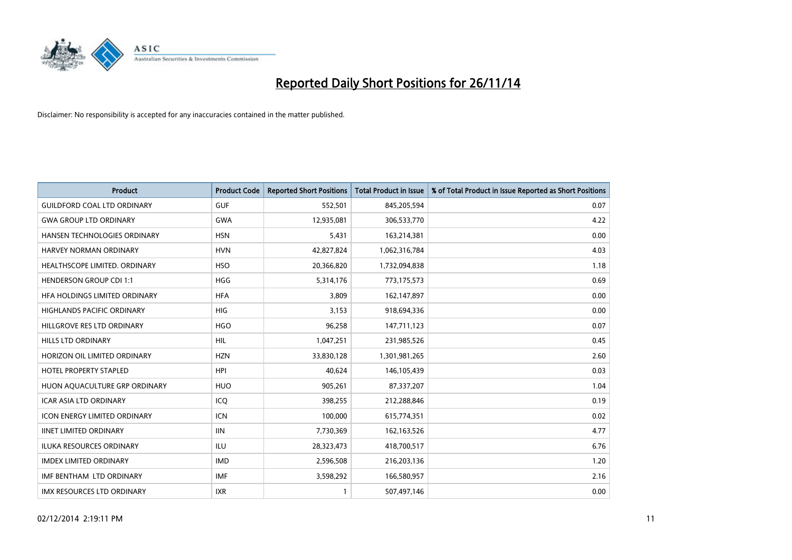

| <b>Product</b>                      | <b>Product Code</b> | <b>Reported Short Positions</b> | <b>Total Product in Issue</b> | % of Total Product in Issue Reported as Short Positions |
|-------------------------------------|---------------------|---------------------------------|-------------------------------|---------------------------------------------------------|
| <b>GUILDFORD COAL LTD ORDINARY</b>  | <b>GUF</b>          | 552,501                         | 845,205,594                   | 0.07                                                    |
| <b>GWA GROUP LTD ORDINARY</b>       | <b>GWA</b>          | 12,935,081                      | 306,533,770                   | 4.22                                                    |
| HANSEN TECHNOLOGIES ORDINARY        | <b>HSN</b>          | 5,431                           | 163,214,381                   | 0.00                                                    |
| HARVEY NORMAN ORDINARY              | <b>HVN</b>          | 42,827,824                      | 1,062,316,784                 | 4.03                                                    |
| HEALTHSCOPE LIMITED. ORDINARY       | <b>HSO</b>          | 20,366,820                      | 1,732,094,838                 | 1.18                                                    |
| <b>HENDERSON GROUP CDI 1:1</b>      | <b>HGG</b>          | 5,314,176                       | 773,175,573                   | 0.69                                                    |
| HFA HOLDINGS LIMITED ORDINARY       | <b>HFA</b>          | 3,809                           | 162,147,897                   | 0.00                                                    |
| HIGHLANDS PACIFIC ORDINARY          | HIG                 | 3,153                           | 918,694,336                   | 0.00                                                    |
| HILLGROVE RES LTD ORDINARY          | <b>HGO</b>          | 96,258                          | 147,711,123                   | 0.07                                                    |
| <b>HILLS LTD ORDINARY</b>           | HIL                 | 1,047,251                       | 231,985,526                   | 0.45                                                    |
| HORIZON OIL LIMITED ORDINARY        | <b>HZN</b>          | 33,830,128                      | 1,301,981,265                 | 2.60                                                    |
| <b>HOTEL PROPERTY STAPLED</b>       | <b>HPI</b>          | 40,624                          | 146,105,439                   | 0.03                                                    |
| HUON AQUACULTURE GRP ORDINARY       | <b>HUO</b>          | 905,261                         | 87,337,207                    | 1.04                                                    |
| <b>ICAR ASIA LTD ORDINARY</b>       | ICQ                 | 398,255                         | 212,288,846                   | 0.19                                                    |
| <b>ICON ENERGY LIMITED ORDINARY</b> | <b>ICN</b>          | 100,000                         | 615,774,351                   | 0.02                                                    |
| <b>IINET LIMITED ORDINARY</b>       | <b>IIN</b>          | 7,730,369                       | 162,163,526                   | 4.77                                                    |
| <b>ILUKA RESOURCES ORDINARY</b>     | <b>ILU</b>          | 28,323,473                      | 418,700,517                   | 6.76                                                    |
| <b>IMDEX LIMITED ORDINARY</b>       | <b>IMD</b>          | 2,596,508                       | 216,203,136                   | 1.20                                                    |
| IMF BENTHAM LTD ORDINARY            | <b>IMF</b>          | 3,598,292                       | 166,580,957                   | 2.16                                                    |
| IMX RESOURCES LTD ORDINARY          | <b>IXR</b>          |                                 | 507,497,146                   | 0.00                                                    |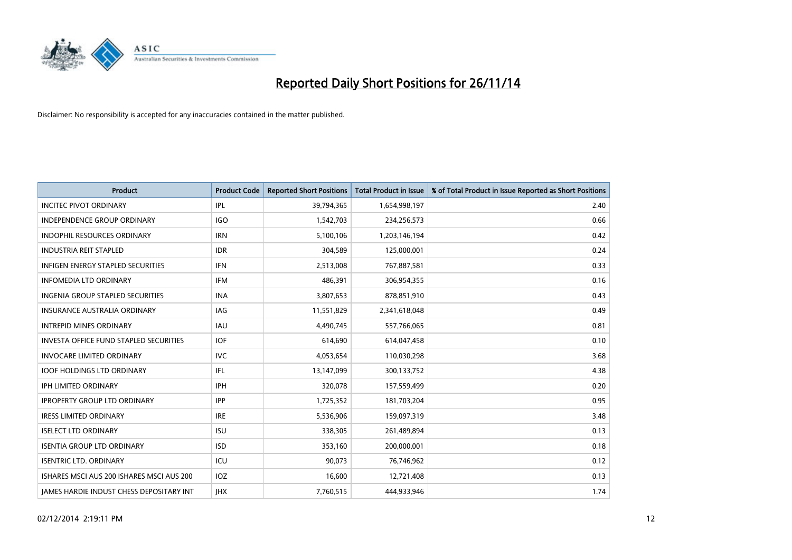

| <b>Product</b>                                  | <b>Product Code</b> | <b>Reported Short Positions</b> | <b>Total Product in Issue</b> | % of Total Product in Issue Reported as Short Positions |
|-------------------------------------------------|---------------------|---------------------------------|-------------------------------|---------------------------------------------------------|
| <b>INCITEC PIVOT ORDINARY</b>                   | IPL                 | 39,794,365                      | 1,654,998,197                 | 2.40                                                    |
| INDEPENDENCE GROUP ORDINARY                     | <b>IGO</b>          | 1,542,703                       | 234,256,573                   | 0.66                                                    |
| <b>INDOPHIL RESOURCES ORDINARY</b>              | <b>IRN</b>          | 5,100,106                       | 1,203,146,194                 | 0.42                                                    |
| <b>INDUSTRIA REIT STAPLED</b>                   | <b>IDR</b>          | 304,589                         | 125,000,001                   | 0.24                                                    |
| <b>INFIGEN ENERGY STAPLED SECURITIES</b>        | <b>IFN</b>          | 2,513,008                       | 767,887,581                   | 0.33                                                    |
| <b>INFOMEDIA LTD ORDINARY</b>                   | <b>IFM</b>          | 486,391                         | 306,954,355                   | 0.16                                                    |
| <b>INGENIA GROUP STAPLED SECURITIES</b>         | <b>INA</b>          | 3,807,653                       | 878,851,910                   | 0.43                                                    |
| <b>INSURANCE AUSTRALIA ORDINARY</b>             | IAG                 | 11,551,829                      | 2,341,618,048                 | 0.49                                                    |
| <b>INTREPID MINES ORDINARY</b>                  | IAU                 | 4,490,745                       | 557,766,065                   | 0.81                                                    |
| INVESTA OFFICE FUND STAPLED SECURITIES          | IOF.                | 614,690                         | 614,047,458                   | 0.10                                                    |
| <b>INVOCARE LIMITED ORDINARY</b>                | <b>IVC</b>          | 4,053,654                       | 110,030,298                   | 3.68                                                    |
| <b>IOOF HOLDINGS LTD ORDINARY</b>               | IFL                 | 13,147,099                      | 300,133,752                   | 4.38                                                    |
| <b>IPH LIMITED ORDINARY</b>                     | <b>IPH</b>          | 320,078                         | 157,559,499                   | 0.20                                                    |
| <b>IPROPERTY GROUP LTD ORDINARY</b>             | <b>IPP</b>          | 1,725,352                       | 181,703,204                   | 0.95                                                    |
| <b>IRESS LIMITED ORDINARY</b>                   | <b>IRE</b>          | 5,536,906                       | 159,097,319                   | 3.48                                                    |
| <b>ISELECT LTD ORDINARY</b>                     | <b>ISU</b>          | 338,305                         | 261,489,894                   | 0.13                                                    |
| <b>ISENTIA GROUP LTD ORDINARY</b>               | <b>ISD</b>          | 353,160                         | 200,000,001                   | 0.18                                                    |
| <b>ISENTRIC LTD. ORDINARY</b>                   | ICU                 | 90,073                          | 76,746,962                    | 0.12                                                    |
| ISHARES MSCI AUS 200 ISHARES MSCI AUS 200       | <b>IOZ</b>          | 16,600                          | 12,721,408                    | 0.13                                                    |
| <b>IAMES HARDIE INDUST CHESS DEPOSITARY INT</b> | <b>IHX</b>          | 7,760,515                       | 444,933,946                   | 1.74                                                    |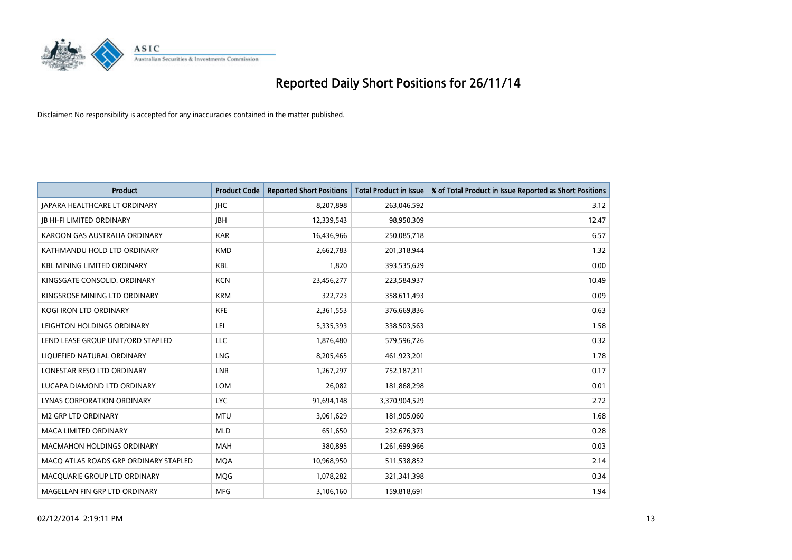

| <b>Product</b>                        | <b>Product Code</b> | <b>Reported Short Positions</b> | <b>Total Product in Issue</b> | % of Total Product in Issue Reported as Short Positions |
|---------------------------------------|---------------------|---------------------------------|-------------------------------|---------------------------------------------------------|
| <b>JAPARA HEALTHCARE LT ORDINARY</b>  | <b>IHC</b>          | 8,207,898                       | 263,046,592                   | 3.12                                                    |
| <b>JB HI-FI LIMITED ORDINARY</b>      | <b>JBH</b>          | 12,339,543                      | 98,950,309                    | 12.47                                                   |
| KAROON GAS AUSTRALIA ORDINARY         | <b>KAR</b>          | 16,436,966                      | 250,085,718                   | 6.57                                                    |
| KATHMANDU HOLD LTD ORDINARY           | <b>KMD</b>          | 2,662,783                       | 201,318,944                   | 1.32                                                    |
| <b>KBL MINING LIMITED ORDINARY</b>    | KBL                 | 1,820                           | 393,535,629                   | 0.00                                                    |
| KINGSGATE CONSOLID, ORDINARY          | <b>KCN</b>          | 23,456,277                      | 223,584,937                   | 10.49                                                   |
| KINGSROSE MINING LTD ORDINARY         | <b>KRM</b>          | 322,723                         | 358,611,493                   | 0.09                                                    |
| KOGI IRON LTD ORDINARY                | <b>KFE</b>          | 2,361,553                       | 376,669,836                   | 0.63                                                    |
| LEIGHTON HOLDINGS ORDINARY            | LEI                 | 5,335,393                       | 338,503,563                   | 1.58                                                    |
| LEND LEASE GROUP UNIT/ORD STAPLED     | <b>LLC</b>          | 1,876,480                       | 579,596,726                   | 0.32                                                    |
| LIQUEFIED NATURAL ORDINARY            | <b>LNG</b>          | 8,205,465                       | 461,923,201                   | 1.78                                                    |
| LONESTAR RESO LTD ORDINARY            | <b>LNR</b>          | 1,267,297                       | 752,187,211                   | 0.17                                                    |
| LUCAPA DIAMOND LTD ORDINARY           | <b>LOM</b>          | 26,082                          | 181,868,298                   | 0.01                                                    |
| LYNAS CORPORATION ORDINARY            | <b>LYC</b>          | 91,694,148                      | 3,370,904,529                 | 2.72                                                    |
| <b>M2 GRP LTD ORDINARY</b>            | <b>MTU</b>          | 3,061,629                       | 181,905,060                   | 1.68                                                    |
| <b>MACA LIMITED ORDINARY</b>          | <b>MLD</b>          | 651,650                         | 232,676,373                   | 0.28                                                    |
| <b>MACMAHON HOLDINGS ORDINARY</b>     | MAH                 | 380,895                         | 1,261,699,966                 | 0.03                                                    |
| MACQ ATLAS ROADS GRP ORDINARY STAPLED | <b>MQA</b>          | 10,968,950                      | 511,538,852                   | 2.14                                                    |
| MACQUARIE GROUP LTD ORDINARY          | <b>MOG</b>          | 1,078,282                       | 321,341,398                   | 0.34                                                    |
| MAGELLAN FIN GRP LTD ORDINARY         | <b>MFG</b>          | 3,106,160                       | 159,818,691                   | 1.94                                                    |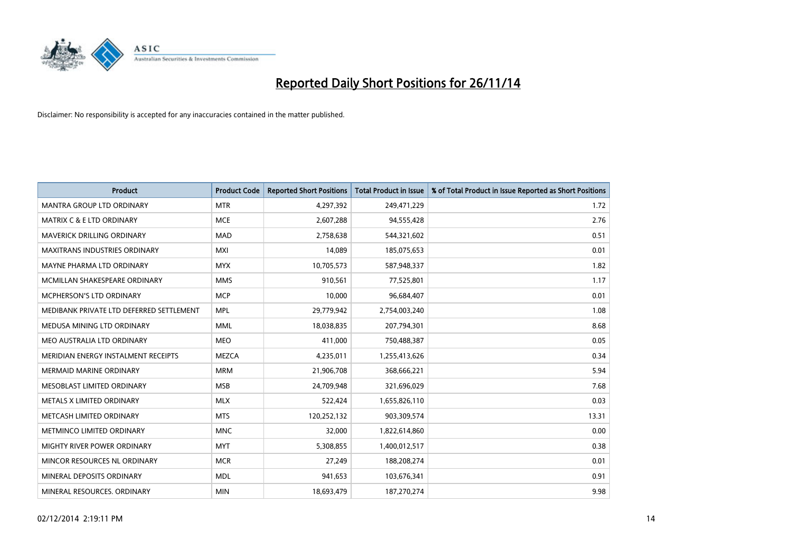

| Product                                  | <b>Product Code</b> | <b>Reported Short Positions</b> | <b>Total Product in Issue</b> | % of Total Product in Issue Reported as Short Positions |
|------------------------------------------|---------------------|---------------------------------|-------------------------------|---------------------------------------------------------|
| <b>MANTRA GROUP LTD ORDINARY</b>         | <b>MTR</b>          | 4,297,392                       | 249,471,229                   | 1.72                                                    |
| MATRIX C & E LTD ORDINARY                | <b>MCE</b>          | 2,607,288                       | 94,555,428                    | 2.76                                                    |
| MAVERICK DRILLING ORDINARY               | <b>MAD</b>          | 2,758,638                       | 544,321,602                   | 0.51                                                    |
| <b>MAXITRANS INDUSTRIES ORDINARY</b>     | <b>MXI</b>          | 14,089                          | 185,075,653                   | 0.01                                                    |
| MAYNE PHARMA LTD ORDINARY                | <b>MYX</b>          | 10,705,573                      | 587,948,337                   | 1.82                                                    |
| MCMILLAN SHAKESPEARE ORDINARY            | <b>MMS</b>          | 910,561                         | 77,525,801                    | 1.17                                                    |
| MCPHERSON'S LTD ORDINARY                 | <b>MCP</b>          | 10,000                          | 96,684,407                    | 0.01                                                    |
| MEDIBANK PRIVATE LTD DEFERRED SETTLEMENT | <b>MPL</b>          | 29,779,942                      | 2,754,003,240                 | 1.08                                                    |
| MEDUSA MINING LTD ORDINARY               | <b>MML</b>          | 18,038,835                      | 207,794,301                   | 8.68                                                    |
| MEO AUSTRALIA LTD ORDINARY               | <b>MEO</b>          | 411,000                         | 750,488,387                   | 0.05                                                    |
| MERIDIAN ENERGY INSTALMENT RECEIPTS      | <b>MEZCA</b>        | 4,235,011                       | 1,255,413,626                 | 0.34                                                    |
| <b>MERMAID MARINE ORDINARY</b>           | <b>MRM</b>          | 21,906,708                      | 368,666,221                   | 5.94                                                    |
| MESOBLAST LIMITED ORDINARY               | <b>MSB</b>          | 24,709,948                      | 321,696,029                   | 7.68                                                    |
| METALS X LIMITED ORDINARY                | <b>MLX</b>          | 522,424                         | 1,655,826,110                 | 0.03                                                    |
| METCASH LIMITED ORDINARY                 | <b>MTS</b>          | 120,252,132                     | 903,309,574                   | 13.31                                                   |
| METMINCO LIMITED ORDINARY                | <b>MNC</b>          | 32,000                          | 1,822,614,860                 | 0.00                                                    |
| MIGHTY RIVER POWER ORDINARY              | <b>MYT</b>          | 5,308,855                       | 1,400,012,517                 | 0.38                                                    |
| MINCOR RESOURCES NL ORDINARY             | <b>MCR</b>          | 27,249                          | 188,208,274                   | 0.01                                                    |
| MINERAL DEPOSITS ORDINARY                | <b>MDL</b>          | 941,653                         | 103,676,341                   | 0.91                                                    |
| MINERAL RESOURCES. ORDINARY              | <b>MIN</b>          | 18,693,479                      | 187,270,274                   | 9.98                                                    |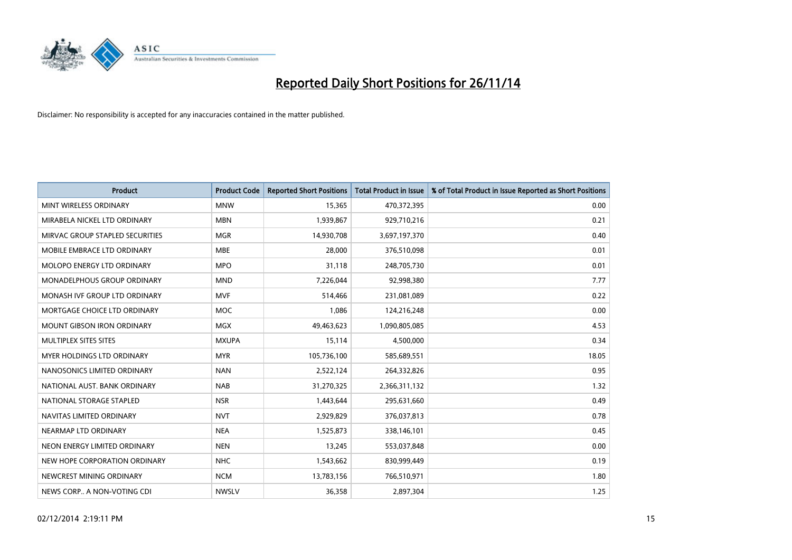

| <b>Product</b>                    | <b>Product Code</b> | <b>Reported Short Positions</b> | <b>Total Product in Issue</b> | % of Total Product in Issue Reported as Short Positions |
|-----------------------------------|---------------------|---------------------------------|-------------------------------|---------------------------------------------------------|
| MINT WIRELESS ORDINARY            | <b>MNW</b>          | 15,365                          | 470,372,395                   | 0.00                                                    |
| MIRABELA NICKEL LTD ORDINARY      | <b>MBN</b>          | 1,939,867                       | 929,710,216                   | 0.21                                                    |
| MIRVAC GROUP STAPLED SECURITIES   | <b>MGR</b>          | 14,930,708                      | 3,697,197,370                 | 0.40                                                    |
| MOBILE EMBRACE LTD ORDINARY       | <b>MBE</b>          | 28,000                          | 376,510,098                   | 0.01                                                    |
| MOLOPO ENERGY LTD ORDINARY        | <b>MPO</b>          | 31,118                          | 248,705,730                   | 0.01                                                    |
| MONADELPHOUS GROUP ORDINARY       | <b>MND</b>          | 7,226,044                       | 92,998,380                    | 7.77                                                    |
| MONASH IVF GROUP LTD ORDINARY     | MVF                 | 514,466                         | 231,081,089                   | 0.22                                                    |
| MORTGAGE CHOICE LTD ORDINARY      | MOC                 | 1,086                           | 124,216,248                   | 0.00                                                    |
| <b>MOUNT GIBSON IRON ORDINARY</b> | <b>MGX</b>          | 49,463,623                      | 1,090,805,085                 | 4.53                                                    |
| MULTIPLEX SITES SITES             | <b>MXUPA</b>        | 15,114                          | 4,500,000                     | 0.34                                                    |
| <b>MYER HOLDINGS LTD ORDINARY</b> | <b>MYR</b>          | 105,736,100                     | 585,689,551                   | 18.05                                                   |
| NANOSONICS LIMITED ORDINARY       | <b>NAN</b>          | 2,522,124                       | 264,332,826                   | 0.95                                                    |
| NATIONAL AUST, BANK ORDINARY      | <b>NAB</b>          | 31,270,325                      | 2,366,311,132                 | 1.32                                                    |
| NATIONAL STORAGE STAPLED          | <b>NSR</b>          | 1,443,644                       | 295,631,660                   | 0.49                                                    |
| NAVITAS LIMITED ORDINARY          | <b>NVT</b>          | 2,929,829                       | 376,037,813                   | 0.78                                                    |
| NEARMAP LTD ORDINARY              | <b>NEA</b>          | 1,525,873                       | 338,146,101                   | 0.45                                                    |
| NEON ENERGY LIMITED ORDINARY      | <b>NEN</b>          | 13,245                          | 553,037,848                   | 0.00                                                    |
| NEW HOPE CORPORATION ORDINARY     | <b>NHC</b>          | 1,543,662                       | 830,999,449                   | 0.19                                                    |
| NEWCREST MINING ORDINARY          | <b>NCM</b>          | 13,783,156                      | 766,510,971                   | 1.80                                                    |
| NEWS CORP A NON-VOTING CDI        | <b>NWSLV</b>        | 36,358                          | 2,897,304                     | 1.25                                                    |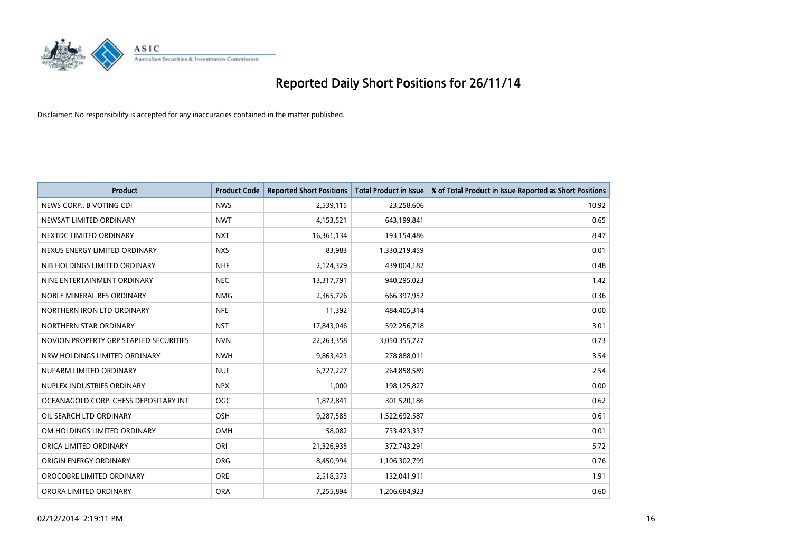

| <b>Product</b>                         | <b>Product Code</b> | <b>Reported Short Positions</b> | <b>Total Product in Issue</b> | % of Total Product in Issue Reported as Short Positions |
|----------------------------------------|---------------------|---------------------------------|-------------------------------|---------------------------------------------------------|
| NEWS CORP B VOTING CDI                 | <b>NWS</b>          | 2,539,115                       | 23,258,606                    | 10.92                                                   |
| NEWSAT LIMITED ORDINARY                | <b>NWT</b>          | 4,153,521                       | 643,199,841                   | 0.65                                                    |
| NEXTDC LIMITED ORDINARY                | <b>NXT</b>          | 16,361,134                      | 193,154,486                   | 8.47                                                    |
| NEXUS ENERGY LIMITED ORDINARY          | <b>NXS</b>          | 83,983                          | 1,330,219,459                 | 0.01                                                    |
| NIB HOLDINGS LIMITED ORDINARY          | <b>NHF</b>          | 2,124,329                       | 439,004,182                   | 0.48                                                    |
| NINE ENTERTAINMENT ORDINARY            | <b>NEC</b>          | 13,317,791                      | 940,295,023                   | 1.42                                                    |
| NOBLE MINERAL RES ORDINARY             | <b>NMG</b>          | 2,365,726                       | 666,397,952                   | 0.36                                                    |
| NORTHERN IRON LTD ORDINARY             | <b>NFE</b>          | 11,392                          | 484,405,314                   | 0.00                                                    |
| NORTHERN STAR ORDINARY                 | <b>NST</b>          | 17,843,046                      | 592,256,718                   | 3.01                                                    |
| NOVION PROPERTY GRP STAPLED SECURITIES | <b>NVN</b>          | 22,263,358                      | 3,050,355,727                 | 0.73                                                    |
| NRW HOLDINGS LIMITED ORDINARY          | <b>NWH</b>          | 9,863,423                       | 278,888,011                   | 3.54                                                    |
| NUFARM LIMITED ORDINARY                | <b>NUF</b>          | 6,727,227                       | 264,858,589                   | 2.54                                                    |
| NUPLEX INDUSTRIES ORDINARY             | <b>NPX</b>          | 1,000                           | 198,125,827                   | 0.00                                                    |
| OCEANAGOLD CORP. CHESS DEPOSITARY INT  | <b>OGC</b>          | 1,872,841                       | 301,520,186                   | 0.62                                                    |
| OIL SEARCH LTD ORDINARY                | OSH                 | 9,287,585                       | 1,522,692,587                 | 0.61                                                    |
| OM HOLDINGS LIMITED ORDINARY           | OMH                 | 58,082                          | 733,423,337                   | 0.01                                                    |
| ORICA LIMITED ORDINARY                 | ORI                 | 21,326,935                      | 372,743,291                   | 5.72                                                    |
| ORIGIN ENERGY ORDINARY                 | <b>ORG</b>          | 8,450,994                       | 1,106,302,799                 | 0.76                                                    |
| OROCOBRE LIMITED ORDINARY              | <b>ORE</b>          | 2,518,373                       | 132,041,911                   | 1.91                                                    |
| ORORA LIMITED ORDINARY                 | <b>ORA</b>          | 7,255,894                       | 1,206,684,923                 | 0.60                                                    |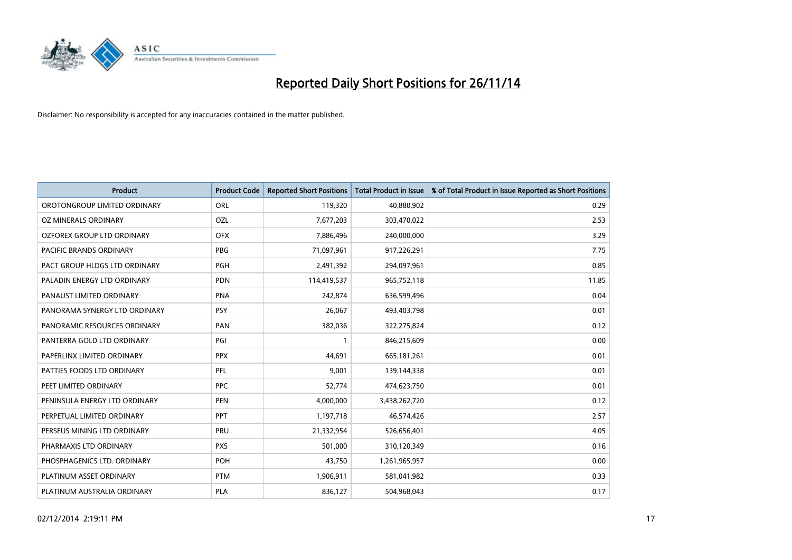

| <b>Product</b>                    | <b>Product Code</b> | <b>Reported Short Positions</b> | <b>Total Product in Issue</b> | % of Total Product in Issue Reported as Short Positions |
|-----------------------------------|---------------------|---------------------------------|-------------------------------|---------------------------------------------------------|
| OROTONGROUP LIMITED ORDINARY      | ORL                 | 119,320                         | 40,880,902                    | 0.29                                                    |
| OZ MINERALS ORDINARY              | OZL                 | 7,677,203                       | 303,470,022                   | 2.53                                                    |
| <b>OZFOREX GROUP LTD ORDINARY</b> | <b>OFX</b>          | 7,886,496                       | 240,000,000                   | 3.29                                                    |
| PACIFIC BRANDS ORDINARY           | <b>PBG</b>          | 71,097,961                      | 917,226,291                   | 7.75                                                    |
| PACT GROUP HLDGS LTD ORDINARY     | <b>PGH</b>          | 2,491,392                       | 294,097,961                   | 0.85                                                    |
| PALADIN ENERGY LTD ORDINARY       | <b>PDN</b>          | 114,419,537                     | 965,752,118                   | 11.85                                                   |
| PANAUST LIMITED ORDINARY          | <b>PNA</b>          | 242,874                         | 636,599,496                   | 0.04                                                    |
| PANORAMA SYNERGY LTD ORDINARY     | <b>PSY</b>          | 26,067                          | 493,403,798                   | 0.01                                                    |
| PANORAMIC RESOURCES ORDINARY      | PAN                 | 382,036                         | 322,275,824                   | 0.12                                                    |
| PANTERRA GOLD LTD ORDINARY        | PGI                 | $\mathbf{1}$                    | 846,215,609                   | 0.00                                                    |
| PAPERLINX LIMITED ORDINARY        | <b>PPX</b>          | 44,691                          | 665, 181, 261                 | 0.01                                                    |
| PATTIES FOODS LTD ORDINARY        | PFL                 | 9,001                           | 139,144,338                   | 0.01                                                    |
| PEET LIMITED ORDINARY             | <b>PPC</b>          | 52,774                          | 474,623,750                   | 0.01                                                    |
| PENINSULA ENERGY LTD ORDINARY     | <b>PEN</b>          | 4,000,000                       | 3,438,262,720                 | 0.12                                                    |
| PERPETUAL LIMITED ORDINARY        | <b>PPT</b>          | 1,197,718                       | 46,574,426                    | 2.57                                                    |
| PERSEUS MINING LTD ORDINARY       | PRU                 | 21,332,954                      | 526,656,401                   | 4.05                                                    |
| PHARMAXIS LTD ORDINARY            | <b>PXS</b>          | 501,000                         | 310,120,349                   | 0.16                                                    |
| PHOSPHAGENICS LTD. ORDINARY       | POH                 | 43,750                          | 1,261,965,957                 | 0.00                                                    |
| PLATINUM ASSET ORDINARY           | <b>PTM</b>          | 1,906,911                       | 581,041,982                   | 0.33                                                    |
| PLATINUM AUSTRALIA ORDINARY       | PLA                 | 836,127                         | 504,968,043                   | 0.17                                                    |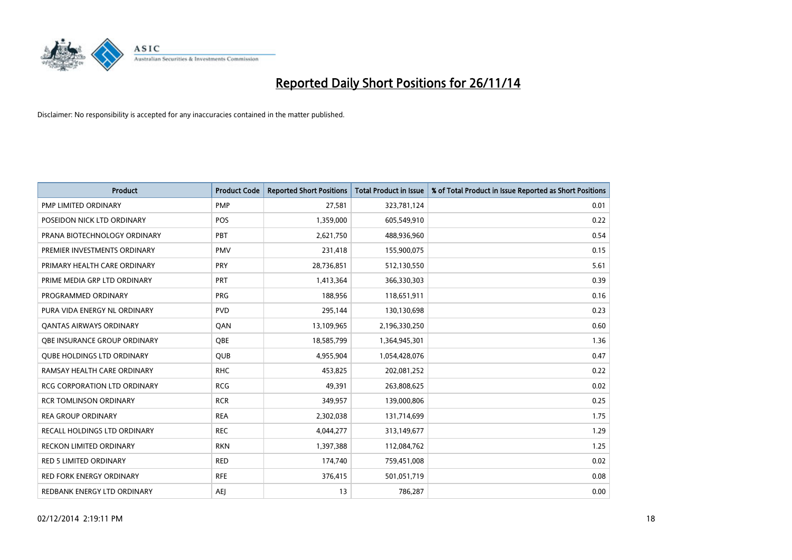

| <b>Product</b>                      | <b>Product Code</b> | <b>Reported Short Positions</b> | <b>Total Product in Issue</b> | % of Total Product in Issue Reported as Short Positions |
|-------------------------------------|---------------------|---------------------------------|-------------------------------|---------------------------------------------------------|
| PMP LIMITED ORDINARY                | <b>PMP</b>          | 27,581                          | 323,781,124                   | 0.01                                                    |
| POSEIDON NICK LTD ORDINARY          | <b>POS</b>          | 1,359,000                       | 605,549,910                   | 0.22                                                    |
| PRANA BIOTECHNOLOGY ORDINARY        | PBT                 | 2,621,750                       | 488,936,960                   | 0.54                                                    |
| PREMIER INVESTMENTS ORDINARY        | <b>PMV</b>          | 231,418                         | 155,900,075                   | 0.15                                                    |
| PRIMARY HEALTH CARE ORDINARY        | <b>PRY</b>          | 28,736,851                      | 512,130,550                   | 5.61                                                    |
| PRIME MEDIA GRP LTD ORDINARY        | PRT                 | 1,413,364                       | 366,330,303                   | 0.39                                                    |
| PROGRAMMED ORDINARY                 | <b>PRG</b>          | 188,956                         | 118,651,911                   | 0.16                                                    |
| PURA VIDA ENERGY NL ORDINARY        | <b>PVD</b>          | 295,144                         | 130,130,698                   | 0.23                                                    |
| <b>QANTAS AIRWAYS ORDINARY</b>      | QAN                 | 13,109,965                      | 2,196,330,250                 | 0.60                                                    |
| OBE INSURANCE GROUP ORDINARY        | <b>OBE</b>          | 18,585,799                      | 1,364,945,301                 | 1.36                                                    |
| <b>QUBE HOLDINGS LTD ORDINARY</b>   | <b>QUB</b>          | 4,955,904                       | 1,054,428,076                 | 0.47                                                    |
| RAMSAY HEALTH CARE ORDINARY         | <b>RHC</b>          | 453,825                         | 202,081,252                   | 0.22                                                    |
| RCG CORPORATION LTD ORDINARY        | <b>RCG</b>          | 49,391                          | 263,808,625                   | 0.02                                                    |
| <b>RCR TOMLINSON ORDINARY</b>       | <b>RCR</b>          | 349,957                         | 139,000,806                   | 0.25                                                    |
| <b>REA GROUP ORDINARY</b>           | <b>REA</b>          | 2,302,038                       | 131,714,699                   | 1.75                                                    |
| <b>RECALL HOLDINGS LTD ORDINARY</b> | <b>REC</b>          | 4,044,277                       | 313,149,677                   | 1.29                                                    |
| <b>RECKON LIMITED ORDINARY</b>      | <b>RKN</b>          | 1,397,388                       | 112,084,762                   | 1.25                                                    |
| <b>RED 5 LIMITED ORDINARY</b>       | <b>RED</b>          | 174,740                         | 759,451,008                   | 0.02                                                    |
| <b>RED FORK ENERGY ORDINARY</b>     | <b>RFE</b>          | 376,415                         | 501,051,719                   | 0.08                                                    |
| REDBANK ENERGY LTD ORDINARY         | <b>AEJ</b>          | 13                              | 786,287                       | 0.00                                                    |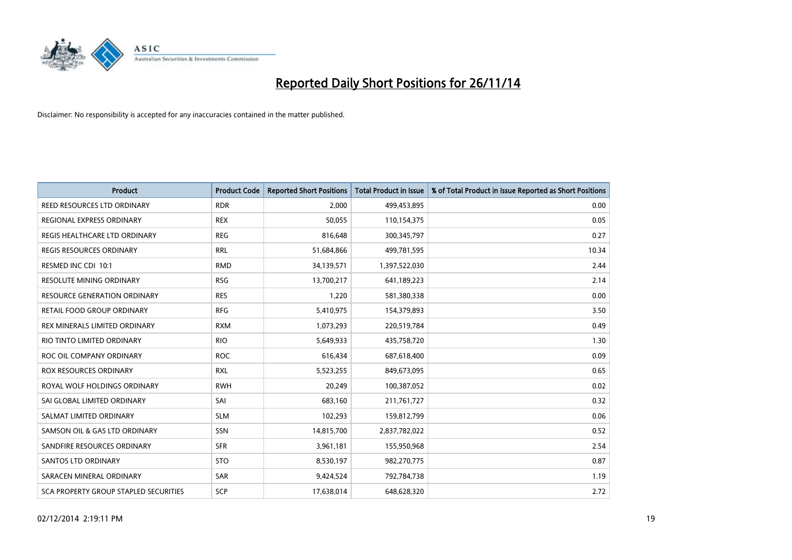

| <b>Product</b>                               | <b>Product Code</b> | <b>Reported Short Positions</b> | <b>Total Product in Issue</b> | % of Total Product in Issue Reported as Short Positions |
|----------------------------------------------|---------------------|---------------------------------|-------------------------------|---------------------------------------------------------|
| REED RESOURCES LTD ORDINARY                  | <b>RDR</b>          | 2,000                           | 499,453,895                   | 0.00                                                    |
| REGIONAL EXPRESS ORDINARY                    | <b>REX</b>          | 50,055                          | 110,154,375                   | 0.05                                                    |
| REGIS HEALTHCARE LTD ORDINARY                | <b>REG</b>          | 816,648                         | 300,345,797                   | 0.27                                                    |
| REGIS RESOURCES ORDINARY                     | <b>RRL</b>          | 51,684,866                      | 499,781,595                   | 10.34                                                   |
| RESMED INC CDI 10:1                          | <b>RMD</b>          | 34,139,571                      | 1,397,522,030                 | 2.44                                                    |
| RESOLUTE MINING ORDINARY                     | <b>RSG</b>          | 13,700,217                      | 641,189,223                   | 2.14                                                    |
| <b>RESOURCE GENERATION ORDINARY</b>          | <b>RES</b>          | 1,220                           | 581,380,338                   | 0.00                                                    |
| RETAIL FOOD GROUP ORDINARY                   | <b>RFG</b>          | 5,410,975                       | 154,379,893                   | 3.50                                                    |
| REX MINERALS LIMITED ORDINARY                | <b>RXM</b>          | 1,073,293                       | 220,519,784                   | 0.49                                                    |
| RIO TINTO LIMITED ORDINARY                   | <b>RIO</b>          | 5,649,933                       | 435,758,720                   | 1.30                                                    |
| ROC OIL COMPANY ORDINARY                     | <b>ROC</b>          | 616,434                         | 687,618,400                   | 0.09                                                    |
| <b>ROX RESOURCES ORDINARY</b>                | RXL                 | 5,523,255                       | 849,673,095                   | 0.65                                                    |
| ROYAL WOLF HOLDINGS ORDINARY                 | <b>RWH</b>          | 20,249                          | 100,387,052                   | 0.02                                                    |
| SAI GLOBAL LIMITED ORDINARY                  | SAI                 | 683,160                         | 211,761,727                   | 0.32                                                    |
| SALMAT LIMITED ORDINARY                      | <b>SLM</b>          | 102,293                         | 159,812,799                   | 0.06                                                    |
| SAMSON OIL & GAS LTD ORDINARY                | SSN                 | 14,815,700                      | 2,837,782,022                 | 0.52                                                    |
| SANDFIRE RESOURCES ORDINARY                  | <b>SFR</b>          | 3,961,181                       | 155,950,968                   | 2.54                                                    |
| SANTOS LTD ORDINARY                          | <b>STO</b>          | 8,530,197                       | 982,270,775                   | 0.87                                                    |
| SARACEN MINERAL ORDINARY                     | SAR                 | 9,424,524                       | 792,784,738                   | 1.19                                                    |
| <b>SCA PROPERTY GROUP STAPLED SECURITIES</b> | SCP                 | 17,638,014                      | 648,628,320                   | 2.72                                                    |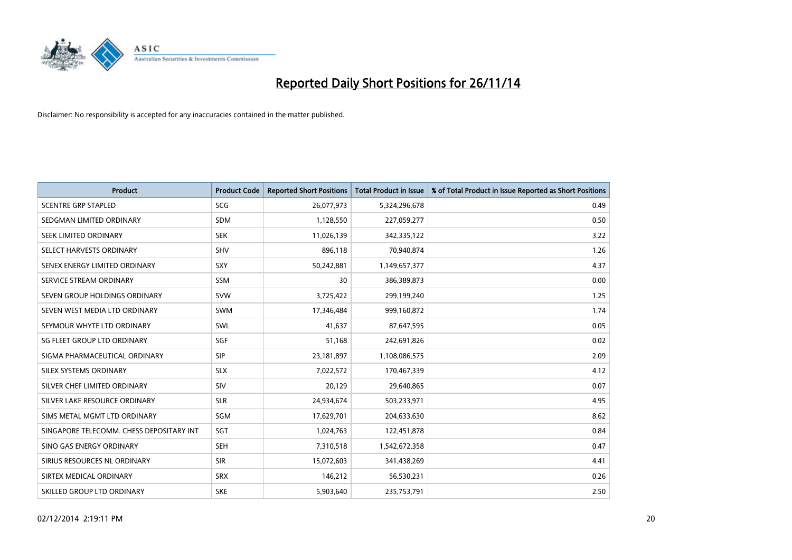

| <b>Product</b>                           | <b>Product Code</b> | <b>Reported Short Positions</b> | <b>Total Product in Issue</b> | % of Total Product in Issue Reported as Short Positions |
|------------------------------------------|---------------------|---------------------------------|-------------------------------|---------------------------------------------------------|
| <b>SCENTRE GRP STAPLED</b>               | <b>SCG</b>          | 26,077,973                      | 5,324,296,678                 | 0.49                                                    |
| SEDGMAN LIMITED ORDINARY                 | <b>SDM</b>          | 1,128,550                       | 227,059,277                   | 0.50                                                    |
| SEEK LIMITED ORDINARY                    | <b>SEK</b>          | 11,026,139                      | 342,335,122                   | 3.22                                                    |
| SELECT HARVESTS ORDINARY                 | SHV                 | 896,118                         | 70,940,874                    | 1.26                                                    |
| SENEX ENERGY LIMITED ORDINARY            | SXY                 | 50,242,881                      | 1,149,657,377                 | 4.37                                                    |
| SERVICE STREAM ORDINARY                  | SSM                 | 30                              | 386,389,873                   | 0.00                                                    |
| SEVEN GROUP HOLDINGS ORDINARY            | <b>SVW</b>          | 3,725,422                       | 299,199,240                   | 1.25                                                    |
| SEVEN WEST MEDIA LTD ORDINARY            | SWM                 | 17,346,484                      | 999,160,872                   | 1.74                                                    |
| SEYMOUR WHYTE LTD ORDINARY               | <b>SWL</b>          | 41,637                          | 87,647,595                    | 0.05                                                    |
| SG FLEET GROUP LTD ORDINARY              | SGF                 | 51,168                          | 242,691,826                   | 0.02                                                    |
| SIGMA PHARMACEUTICAL ORDINARY            | <b>SIP</b>          | 23,181,897                      | 1,108,086,575                 | 2.09                                                    |
| SILEX SYSTEMS ORDINARY                   | <b>SLX</b>          | 7,022,572                       | 170,467,339                   | 4.12                                                    |
| SILVER CHEF LIMITED ORDINARY             | SIV                 | 20,129                          | 29,640,865                    | 0.07                                                    |
| SILVER LAKE RESOURCE ORDINARY            | <b>SLR</b>          | 24,934,674                      | 503,233,971                   | 4.95                                                    |
| SIMS METAL MGMT LTD ORDINARY             | SGM                 | 17,629,701                      | 204,633,630                   | 8.62                                                    |
| SINGAPORE TELECOMM. CHESS DEPOSITARY INT | SGT                 | 1,024,763                       | 122,451,878                   | 0.84                                                    |
| SINO GAS ENERGY ORDINARY                 | SEH                 | 7,310,518                       | 1,542,672,358                 | 0.47                                                    |
| SIRIUS RESOURCES NL ORDINARY             | <b>SIR</b>          | 15,072,603                      | 341,438,269                   | 4.41                                                    |
| SIRTEX MEDICAL ORDINARY                  | <b>SRX</b>          | 146,212                         | 56,530,231                    | 0.26                                                    |
| SKILLED GROUP LTD ORDINARY               | <b>SKE</b>          | 5,903,640                       | 235,753,791                   | 2.50                                                    |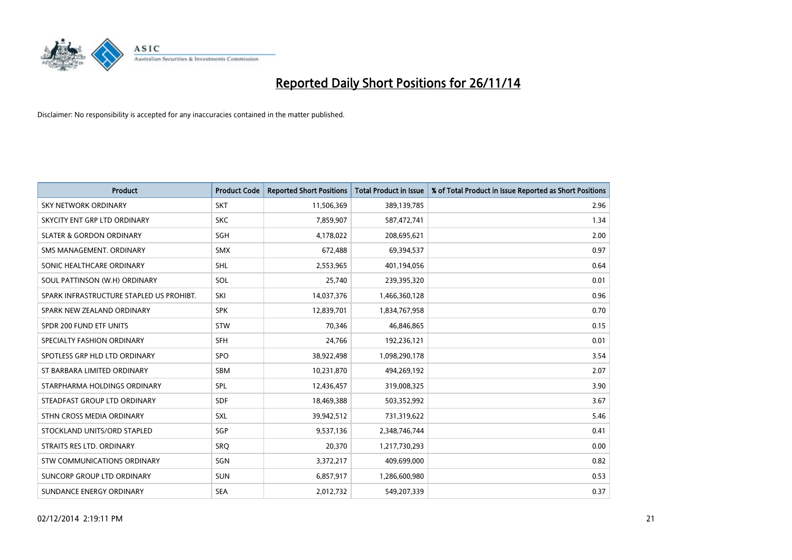

| <b>Product</b>                           | <b>Product Code</b> | <b>Reported Short Positions</b> | <b>Total Product in Issue</b> | % of Total Product in Issue Reported as Short Positions |
|------------------------------------------|---------------------|---------------------------------|-------------------------------|---------------------------------------------------------|
| SKY NETWORK ORDINARY                     | <b>SKT</b>          | 11,506,369                      | 389,139,785                   | 2.96                                                    |
| SKYCITY ENT GRP LTD ORDINARY             | <b>SKC</b>          | 7,859,907                       | 587,472,741                   | 1.34                                                    |
| <b>SLATER &amp; GORDON ORDINARY</b>      | SGH                 | 4,178,022                       | 208,695,621                   | 2.00                                                    |
| SMS MANAGEMENT, ORDINARY                 | <b>SMX</b>          | 672,488                         | 69,394,537                    | 0.97                                                    |
| SONIC HEALTHCARE ORDINARY                | SHL                 | 2,553,965                       | 401,194,056                   | 0.64                                                    |
| SOUL PATTINSON (W.H) ORDINARY            | SOL                 | 25,740                          | 239,395,320                   | 0.01                                                    |
| SPARK INFRASTRUCTURE STAPLED US PROHIBT. | SKI                 | 14,037,376                      | 1,466,360,128                 | 0.96                                                    |
| SPARK NEW ZEALAND ORDINARY               | <b>SPK</b>          | 12,839,701                      | 1,834,767,958                 | 0.70                                                    |
| SPDR 200 FUND ETF UNITS                  | <b>STW</b>          | 70.346                          | 46,846,865                    | 0.15                                                    |
| SPECIALTY FASHION ORDINARY               | SFH                 | 24,766                          | 192,236,121                   | 0.01                                                    |
| SPOTLESS GRP HLD LTD ORDINARY            | <b>SPO</b>          | 38,922,498                      | 1,098,290,178                 | 3.54                                                    |
| ST BARBARA LIMITED ORDINARY              | SBM                 | 10,231,870                      | 494,269,192                   | 2.07                                                    |
| STARPHARMA HOLDINGS ORDINARY             | <b>SPL</b>          | 12,436,457                      | 319,008,325                   | 3.90                                                    |
| STEADFAST GROUP LTD ORDINARY             | <b>SDF</b>          | 18,469,388                      | 503,352,992                   | 3.67                                                    |
| STHN CROSS MEDIA ORDINARY                | <b>SXL</b>          | 39,942,512                      | 731,319,622                   | 5.46                                                    |
| STOCKLAND UNITS/ORD STAPLED              | SGP                 | 9,537,136                       | 2,348,746,744                 | 0.41                                                    |
| STRAITS RES LTD. ORDINARY                | SRQ                 | 20,370                          | 1,217,730,293                 | 0.00                                                    |
| STW COMMUNICATIONS ORDINARY              | SGN                 | 3,372,217                       | 409,699,000                   | 0.82                                                    |
| SUNCORP GROUP LTD ORDINARY               | <b>SUN</b>          | 6,857,917                       | 1,286,600,980                 | 0.53                                                    |
| SUNDANCE ENERGY ORDINARY                 | <b>SEA</b>          | 2,012,732                       | 549,207,339                   | 0.37                                                    |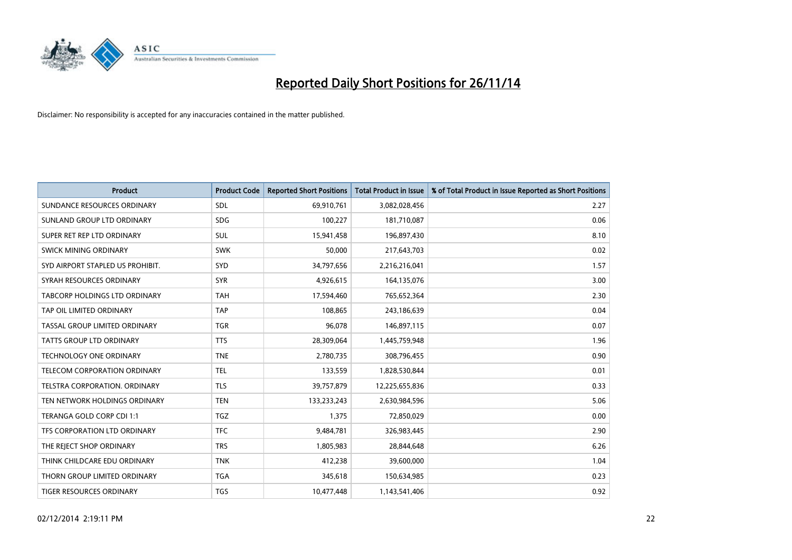

| <b>Product</b>                       | <b>Product Code</b> | <b>Reported Short Positions</b> | <b>Total Product in Issue</b> | % of Total Product in Issue Reported as Short Positions |
|--------------------------------------|---------------------|---------------------------------|-------------------------------|---------------------------------------------------------|
| SUNDANCE RESOURCES ORDINARY          | <b>SDL</b>          | 69,910,761                      | 3,082,028,456                 | 2.27                                                    |
| SUNLAND GROUP LTD ORDINARY           | <b>SDG</b>          | 100,227                         | 181,710,087                   | 0.06                                                    |
| SUPER RET REP LTD ORDINARY           | <b>SUL</b>          | 15,941,458                      | 196,897,430                   | 8.10                                                    |
| SWICK MINING ORDINARY                | <b>SWK</b>          | 50,000                          | 217,643,703                   | 0.02                                                    |
| SYD AIRPORT STAPLED US PROHIBIT.     | <b>SYD</b>          | 34,797,656                      | 2,216,216,041                 | 1.57                                                    |
| SYRAH RESOURCES ORDINARY             | <b>SYR</b>          | 4,926,615                       | 164,135,076                   | 3.00                                                    |
| TABCORP HOLDINGS LTD ORDINARY        | <b>TAH</b>          | 17,594,460                      | 765,652,364                   | 2.30                                                    |
| TAP OIL LIMITED ORDINARY             | <b>TAP</b>          | 108,865                         | 243,186,639                   | 0.04                                                    |
| TASSAL GROUP LIMITED ORDINARY        | <b>TGR</b>          | 96,078                          | 146,897,115                   | 0.07                                                    |
| TATTS GROUP LTD ORDINARY             | <b>TTS</b>          | 28,309,064                      | 1,445,759,948                 | 1.96                                                    |
| <b>TECHNOLOGY ONE ORDINARY</b>       | <b>TNE</b>          | 2,780,735                       | 308,796,455                   | 0.90                                                    |
| TELECOM CORPORATION ORDINARY         | <b>TEL</b>          | 133,559                         | 1,828,530,844                 | 0.01                                                    |
| <b>TELSTRA CORPORATION, ORDINARY</b> | <b>TLS</b>          | 39,757,879                      | 12,225,655,836                | 0.33                                                    |
| TEN NETWORK HOLDINGS ORDINARY        | <b>TEN</b>          | 133,233,243                     | 2,630,984,596                 | 5.06                                                    |
| TERANGA GOLD CORP CDI 1:1            | <b>TGZ</b>          | 1,375                           | 72,850,029                    | 0.00                                                    |
| TFS CORPORATION LTD ORDINARY         | <b>TFC</b>          | 9,484,781                       | 326,983,445                   | 2.90                                                    |
| THE REJECT SHOP ORDINARY             | <b>TRS</b>          | 1,805,983                       | 28,844,648                    | 6.26                                                    |
| THINK CHILDCARE EDU ORDINARY         | <b>TNK</b>          | 412,238                         | 39,600,000                    | 1.04                                                    |
| THORN GROUP LIMITED ORDINARY         | <b>TGA</b>          | 345,618                         | 150,634,985                   | 0.23                                                    |
| TIGER RESOURCES ORDINARY             | <b>TGS</b>          | 10,477,448                      | 1,143,541,406                 | 0.92                                                    |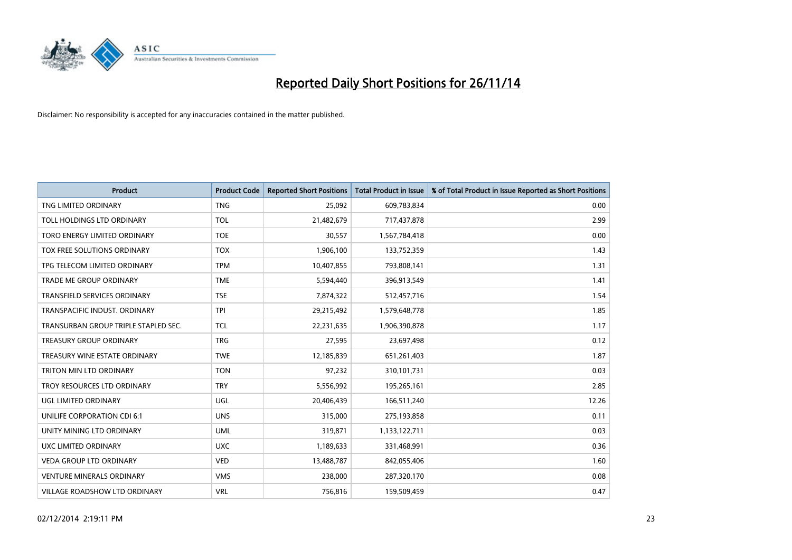

| <b>Product</b>                       | <b>Product Code</b> | <b>Reported Short Positions</b> | <b>Total Product in Issue</b> | % of Total Product in Issue Reported as Short Positions |
|--------------------------------------|---------------------|---------------------------------|-------------------------------|---------------------------------------------------------|
| TNG LIMITED ORDINARY                 | <b>TNG</b>          | 25,092                          | 609,783,834                   | 0.00                                                    |
| TOLL HOLDINGS LTD ORDINARY           | <b>TOL</b>          | 21,482,679                      | 717,437,878                   | 2.99                                                    |
| TORO ENERGY LIMITED ORDINARY         | <b>TOE</b>          | 30,557                          | 1,567,784,418                 | 0.00                                                    |
| TOX FREE SOLUTIONS ORDINARY          | <b>TOX</b>          | 1,906,100                       | 133,752,359                   | 1.43                                                    |
| TPG TELECOM LIMITED ORDINARY         | <b>TPM</b>          | 10,407,855                      | 793,808,141                   | 1.31                                                    |
| TRADE ME GROUP ORDINARY              | <b>TME</b>          | 5,594,440                       | 396,913,549                   | 1.41                                                    |
| TRANSFIELD SERVICES ORDINARY         | <b>TSE</b>          | 7,874,322                       | 512,457,716                   | 1.54                                                    |
| TRANSPACIFIC INDUST, ORDINARY        | <b>TPI</b>          | 29,215,492                      | 1,579,648,778                 | 1.85                                                    |
| TRANSURBAN GROUP TRIPLE STAPLED SEC. | <b>TCL</b>          | 22,231,635                      | 1,906,390,878                 | 1.17                                                    |
| <b>TREASURY GROUP ORDINARY</b>       | <b>TRG</b>          | 27,595                          | 23,697,498                    | 0.12                                                    |
| TREASURY WINE ESTATE ORDINARY        | <b>TWE</b>          | 12,185,839                      | 651,261,403                   | 1.87                                                    |
| TRITON MIN LTD ORDINARY              | <b>TON</b>          | 97,232                          | 310,101,731                   | 0.03                                                    |
| TROY RESOURCES LTD ORDINARY          | <b>TRY</b>          | 5,556,992                       | 195,265,161                   | 2.85                                                    |
| <b>UGL LIMITED ORDINARY</b>          | UGL                 | 20,406,439                      | 166,511,240                   | 12.26                                                   |
| UNILIFE CORPORATION CDI 6:1          | <b>UNS</b>          | 315,000                         | 275,193,858                   | 0.11                                                    |
| UNITY MINING LTD ORDINARY            | <b>UML</b>          | 319,871                         | 1,133,122,711                 | 0.03                                                    |
| UXC LIMITED ORDINARY                 | <b>UXC</b>          | 1,189,633                       | 331,468,991                   | 0.36                                                    |
| VEDA GROUP LTD ORDINARY              | <b>VED</b>          | 13,488,787                      | 842,055,406                   | 1.60                                                    |
| <b>VENTURE MINERALS ORDINARY</b>     | <b>VMS</b>          | 238,000                         | 287,320,170                   | 0.08                                                    |
| <b>VILLAGE ROADSHOW LTD ORDINARY</b> | <b>VRL</b>          | 756,816                         | 159,509,459                   | 0.47                                                    |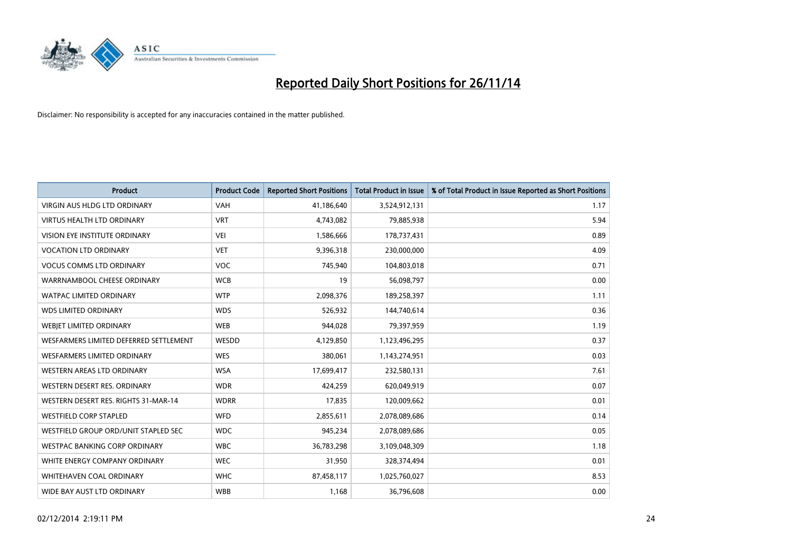

| <b>Product</b>                         | <b>Product Code</b> | <b>Reported Short Positions</b> | <b>Total Product in Issue</b> | % of Total Product in Issue Reported as Short Positions |
|----------------------------------------|---------------------|---------------------------------|-------------------------------|---------------------------------------------------------|
| <b>VIRGIN AUS HLDG LTD ORDINARY</b>    | <b>VAH</b>          | 41,186,640                      | 3,524,912,131                 | 1.17                                                    |
| <b>VIRTUS HEALTH LTD ORDINARY</b>      | <b>VRT</b>          | 4,743,082                       | 79,885,938                    | 5.94                                                    |
| <b>VISION EYE INSTITUTE ORDINARY</b>   | <b>VEI</b>          | 1,586,666                       | 178,737,431                   | 0.89                                                    |
| <b>VOCATION LTD ORDINARY</b>           | <b>VET</b>          | 9,396,318                       | 230,000,000                   | 4.09                                                    |
| <b>VOCUS COMMS LTD ORDINARY</b>        | <b>VOC</b>          | 745,940                         | 104,803,018                   | 0.71                                                    |
| WARRNAMBOOL CHEESE ORDINARY            | <b>WCB</b>          | 19                              | 56,098,797                    | 0.00                                                    |
| <b>WATPAC LIMITED ORDINARY</b>         | <b>WTP</b>          | 2,098,376                       | 189,258,397                   | 1.11                                                    |
| <b>WDS LIMITED ORDINARY</b>            | <b>WDS</b>          | 526,932                         | 144,740,614                   | 0.36                                                    |
| WEBIET LIMITED ORDINARY                | <b>WEB</b>          | 944,028                         | 79,397,959                    | 1.19                                                    |
| WESFARMERS LIMITED DEFERRED SETTLEMENT | WESDD               | 4,129,850                       | 1,123,496,295                 | 0.37                                                    |
| WESFARMERS LIMITED ORDINARY            | <b>WES</b>          | 380,061                         | 1,143,274,951                 | 0.03                                                    |
| <b>WESTERN AREAS LTD ORDINARY</b>      | <b>WSA</b>          | 17,699,417                      | 232,580,131                   | 7.61                                                    |
| WESTERN DESERT RES. ORDINARY           | <b>WDR</b>          | 424,259                         | 620,049,919                   | 0.07                                                    |
| WESTERN DESERT RES. RIGHTS 31-MAR-14   | <b>WDRR</b>         | 17,835                          | 120,009,662                   | 0.01                                                    |
| <b>WESTFIELD CORP STAPLED</b>          | <b>WFD</b>          | 2,855,611                       | 2,078,089,686                 | 0.14                                                    |
| WESTFIELD GROUP ORD/UNIT STAPLED SEC   | <b>WDC</b>          | 945,234                         | 2,078,089,686                 | 0.05                                                    |
| <b>WESTPAC BANKING CORP ORDINARY</b>   | <b>WBC</b>          | 36,783,298                      | 3,109,048,309                 | 1.18                                                    |
| WHITE ENERGY COMPANY ORDINARY          | <b>WEC</b>          | 31,950                          | 328,374,494                   | 0.01                                                    |
| WHITEHAVEN COAL ORDINARY               | <b>WHC</b>          | 87,458,117                      | 1,025,760,027                 | 8.53                                                    |
| WIDE BAY AUST LTD ORDINARY             | <b>WBB</b>          | 1,168                           | 36,796,608                    | 0.00                                                    |